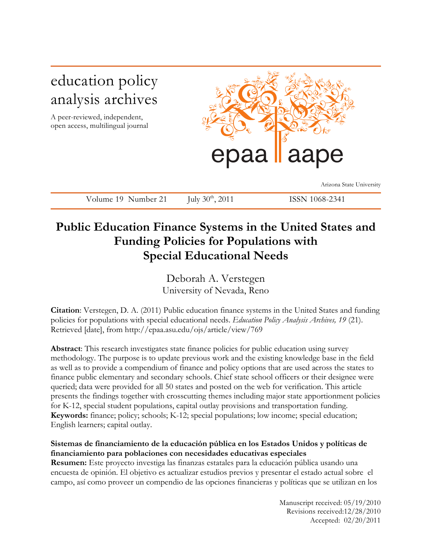# education policy analysis archives

A peer-reviewed, independent, open access, multilingual journal



Arizona State University

Volume 19 Number 21 July 30<sup>th</sup>, 2011 ISSN 1068-2341

# **Public Education Finance Systems in the United States and Funding Policies for Populations with Special Educational Needs**

Deborah A. Verstegen University of Nevada, Reno

**Citation**: Verstegen, D. A. (2011) Public education finance systems in the United States and funding policies for populations with special educational needs. *Education Policy Analysis Archives, 19* (21). Retrieved [date], from http://epaa.asu.edu/ojs/article/view/769

**Abstract**: This research investigates state finance policies for public education using survey methodology. The purpose is to update previous work and the existing knowledge base in the field as well as to provide a compendium of finance and policy options that are used across the states to finance public elementary and secondary schools. Chief state school officers or their designee were queried; data were provided for all 50 states and posted on the web for verification. This article presents the findings together with crosscutting themes including major state apportionment policies for K-12, special student populations, capital outlay provisions and transportation funding. **Keywords:** finance; policy; schools; K-12; special populations; low income; special education; English learners; capital outlay.

# **Sistemas de financiamiento de la educación pública en los Estados Unidos y políticas de financiamiento para poblaciones con necesidades educativas especiales**

**Resumen:** Este proyecto investiga las finanzas estatales para la educación pública usando una encuesta de opinión. El objetivo es actualizar estudios previos y presentar el estado actual sobre el campo, así como proveer un compendio de las opciones financieras y políticas que se utilizan en los

> Manuscript received: 05/19/2010 Revisions received:12/28/2010 Accepted: 02/20/2011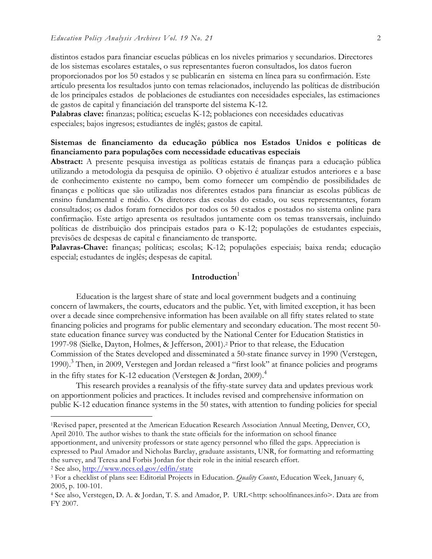distintos estados para financiar escuelas públicas en los niveles primarios y secundarios. Directores de los sistemas escolares estatales, o sus representantes fueron consultados, los datos fueron proporcionados por los 50 estados y se publicarán en sistema en línea para su confirmación. Este artículo presenta los resultados junto con temas relacionados, incluyendo las políticas de distribución de los principales estados de poblaciones de estudiantes con necesidades especiales, las estimaciones de gastos de capital y financiación del transporte del sistema K-12.

**Palabras clave:** finanzas; política; escuelas K-12; poblaciones con necesidades educativas especiales; bajos ingresos; estudiantes de inglés; gastos de capital.

### **Sistemas de financiamento da educação pública nos Estados Unidos e políticas de financiamento para populações com necessidade educativas especiais**

**Abstract:** A presente pesquisa investiga as políticas estatais de finanças para a educação pública utilizando a metodologia da pesquisa de opinião. O objetivo é atualizar estudos anteriores e a base de conhecimento existente no campo, bem como fornecer um compêndio de possibilidades de finanças e políticas que são utilizadas nos diferentes estados para financiar as escolas públicas de ensino fundamental e médio. Os diretores das escolas do estado, ou seus representantes, foram consultados; os dados foram fornecidos por todos os 50 estados e postados no sistema online para confirmação. Este artigo apresenta os resultados juntamente com os temas transversais, incluindo políticas de distribuição dos principais estados para o K-12; populações de estudantes especiais, previsões de despesas de capital e financiamento de transporte.

Palavras-Chave: finanças; políticas; escolas; K-12; populações especiais; baixa renda; educação especial; estudantes de inglês; despesas de capital.

# Introduction<sup>1</sup>

Education is the largest share of state and local government budgets and a continuing concern of lawmakers, the courts, educators and the public. Yet, with limited exception, it has been over a decade since comprehensive information has been available on all fifty states related to state financing policies and programs for public elementary and secondary education. The most recent 50 state education finance survey was conducted by the National Center for Education Statistics in 1997-98 (Sielke, Dayton, Holmes, & Jefferson, 2001).2 Prior to that release, the Education Commission of the States developed and disseminated a 50-state finance survey in 1990 (Verstegen, 1990).<sup>3</sup> Then, in 2009, Verstegen and Jordan released a "first look" at finance policies and programs in the fifty states for K-12 education (Verstegen & Jordan, 2009).<sup>4</sup>

This research provides a reanalysis of the fifty-state survey data and updates previous work on apportionment policies and practices. It includes revised and comprehensive information on public K-12 education finance systems in the 50 states, with attention to funding policies for special

 1Revised paper, presented at the American Education Research Association Annual Meeting, Denver, CO, April 2010. The author wishes to thank the state officials for the information on school finance apportionment, and university professors or state agency personnel who filled the gaps. Appreciation is expressed to Paul Amador and Nicholas Barclay, graduate assistants, UNR, for formatting and reformatting

the survey, and Teresa and Forbis Jordan for their role in the initial research effort. 2 See also, http://www.nces.ed.gov/edfin/state

<sup>3</sup> For a checklist of plans see: Editorial Projects in Education. *Quality Counts*, Education Week, January 6, 2005, p. 100-101.

<sup>4</sup> See also, Verstegen, D. A. & Jordan, T. S. and Amador, P. URL<http: schoolfinances.info>. Data are from FY 2007.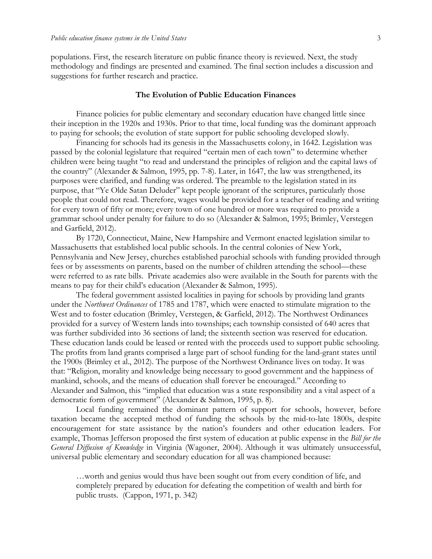populations. First, the research literature on public finance theory is reviewed. Next, the study methodology and findings are presented and examined. The final section includes a discussion and suggestions for further research and practice.

#### **The Evolution of Public Education Finances**

Finance policies for public elementary and secondary education have changed little since their inception in the 1920s and 1930s. Prior to that time, local funding was the dominant approach to paying for schools; the evolution of state support for public schooling developed slowly.

Financing for schools had its genesis in the Massachusetts colony, in 1642. Legislation was passed by the colonial legislature that required "certain men of each town" to determine whether children were being taught "to read and understand the principles of religion and the capital laws of the country" (Alexander & Salmon, 1995, pp. 7-8). Later, in 1647, the law was strengthened, its purposes were clarified, and funding was ordered. The preamble to the legislation stated in its purpose, that "Ye Olde Satan Deluder" kept people ignorant of the scriptures, particularly those people that could not read. Therefore, wages would be provided for a teacher of reading and writing for every town of fifty or more; every town of one hundred or more was required to provide a grammar school under penalty for failure to do so (Alexander & Salmon, 1995; Brimley, Verstegen and Garfield, 2012).

By 1720, Connecticut, Maine, New Hampshire and Vermont enacted legislation similar to Massachusetts that established local public schools. In the central colonies of New York, Pennsylvania and New Jersey, churches established parochial schools with funding provided through fees or by assessments on parents, based on the number of children attending the school—these were referred to as rate bills. Private academies also were available in the South for parents with the means to pay for their child's education (Alexander & Salmon, 1995).

The federal government assisted localities in paying for schools by providing land grants under the *Northwest Ordinances* of 1785 and 1787, which were enacted to stimulate migration to the West and to foster education (Brimley, Verstegen, & Garfield, 2012). The Northwest Ordinances provided for a survey of Western lands into townships; each township consisted of 640 acres that was further subdivided into 36 sections of land; the sixteenth section was reserved for education. These education lands could be leased or rented with the proceeds used to support public schooling. The profits from land grants comprised a large part of school funding for the land-grant states until the 1900s (Brimley et al., 2012). The purpose of the Northwest Ordinance lives on today. It was that: "Religion, morality and knowledge being necessary to good government and the happiness of mankind, schools, and the means of education shall forever be encouraged." According to Alexander and Salmon, this "implied that education was a state responsibility and a vital aspect of a democratic form of government" (Alexander & Salmon, 1995, p. 8).

Local funding remained the dominant pattern of support for schools, however, before taxation became the accepted method of funding the schools by the mid-to-late 1800s, despite encouragement for state assistance by the nation's founders and other education leaders. For example, Thomas Jefferson proposed the first system of education at public expense in the *Bill for the General Diffusion of Knowledge* in Virginia (Wagoner, 2004). Although it was ultimately unsuccessful, universal public elementary and secondary education for all was championed because:

…worth and genius would thus have been sought out from every condition of life, and completely prepared by education for defeating the competition of wealth and birth for public trusts. (Cappon, 1971, p. 342)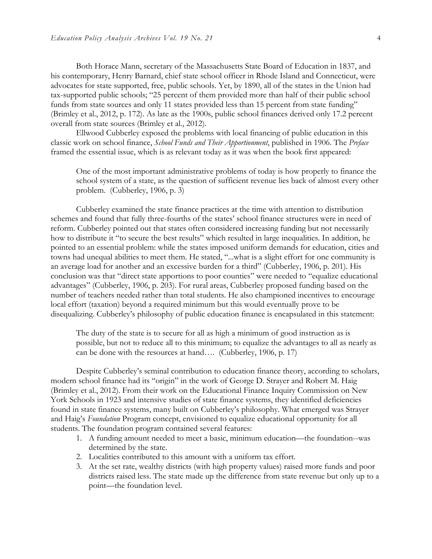Both Horace Mann, secretary of the Massachusetts State Board of Education in 1837, and his contemporary, Henry Barnard, chief state school officer in Rhode Island and Connecticut, were advocates for state supported, free, public schools. Yet, by 1890, all of the states in the Union had tax-supported public schools; "25 percent of them provided more than half of their public school funds from state sources and only 11 states provided less than 15 percent from state funding" (Brimley et al., 2012, p. 172). As late as the 1900s, public school finances derived only 17.2 percent overall from state sources (Brimley et al., 2012).

Ellwood Cubberley exposed the problems with local financing of public education in this classic work on school finance, *School Funds and Their Apportionment*, published in 1906. The *Preface* framed the essential issue, which is as relevant today as it was when the book first appeared:

One of the most important administrative problems of today is how properly to finance the school system of a state, as the question of sufficient revenue lies back of almost every other problem. (Cubberley, 1906, p. 3)

Cubberley examined the state finance practices at the time with attention to distribution schemes and found that fully three-fourths of the states' school finance structures were in need of reform. Cubberley pointed out that states often considered increasing funding but not necessarily how to distribute it "to secure the best results" which resulted in large inequalities. In addition, he pointed to an essential problem: while the states imposed uniform demands for education, cities and towns had unequal abilities to meet them. He stated, "...what is a slight effort for one community is an average load for another and an excessive burden for a third" (Cubberley, 1906, p. 201). His conclusion was that "direct state apportions to poor counties" were needed to "equalize educational advantages" (Cubberley, 1906, p. 203). For rural areas, Cubberley proposed funding based on the number of teachers needed rather than total students. He also championed incentives to encourage local effort (taxation) beyond a required minimum but this would eventually prove to be disequalizing. Cubberley's philosophy of public education finance is encapsulated in this statement:

The duty of the state is to secure for all as high a minimum of good instruction as is possible, but not to reduce all to this minimum; to equalize the advantages to all as nearly as can be done with the resources at hand…. (Cubberley, 1906, p. 17)

Despite Cubberley's seminal contribution to education finance theory, according to scholars, modern school finance had its "origin" in the work of George D. Strayer and Robert M. Haig (Brimley et al., 2012). From their work on the Educational Finance Inquiry Commission on New York Schools in 1923 and intensive studies of state finance systems, they identified deficiencies found in state finance systems, many built on Cubberley's philosophy. What emerged was Strayer and Haig's *Foundation* Program concept, envisioned to equalize educational opportunity for all students. The foundation program contained several features:

- 1. A funding amount needed to meet a basic, minimum education—the foundation--was determined by the state.
- 2. Localities contributed to this amount with a uniform tax effort.
- 3. At the set rate, wealthy districts (with high property values) raised more funds and poor districts raised less. The state made up the difference from state revenue but only up to a point—the foundation level.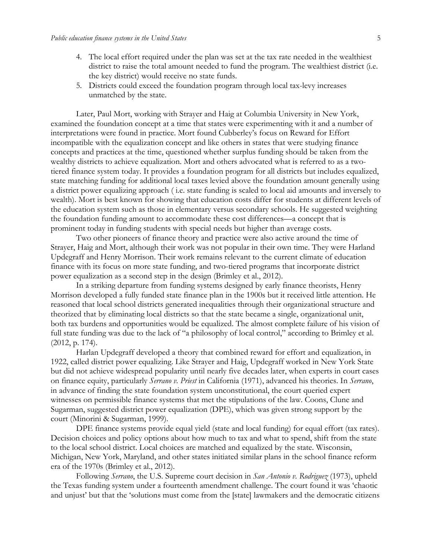- 4. The local effort required under the plan was set at the tax rate needed in the wealthiest district to raise the total amount needed to fund the program. The wealthiest district (i.e. the key district) would receive no state funds.
- 5. Districts could exceed the foundation program through local tax-levy increases unmatched by the state.

Later, Paul Mort, working with Strayer and Haig at Columbia University in New York, examined the foundation concept at a time that states were experimenting with it and a number of interpretations were found in practice. Mort found Cubberley's focus on Reward for Effort incompatible with the equalization concept and like others in states that were studying finance concepts and practices at the time, questioned whether surplus funding should be taken from the wealthy districts to achieve equalization. Mort and others advocated what is referred to as a twotiered finance system today. It provides a foundation program for all districts but includes equalized, state matching funding for additional local taxes levied above the foundation amount generally using a district power equalizing approach ( i.e. state funding is scaled to local aid amounts and inversely to wealth). Mort is best known for showing that education costs differ for students at different levels of the education system such as those in elementary versus secondary schools. He suggested weighting the foundation funding amount to accommodate these cost differences—a concept that is prominent today in funding students with special needs but higher than average costs.

Two other pioneers of finance theory and practice were also active around the time of Strayer, Haig and Mort, although their work was not popular in their own time. They were Harland Updegraff and Henry Morrison. Their work remains relevant to the current climate of education finance with its focus on more state funding, and two-tiered programs that incorporate district power equalization as a second step in the design (Brimley et al., 2012).

In a striking departure from funding systems designed by early finance theorists, Henry Morrison developed a fully funded state finance plan in the 1900s but it received little attention. He reasoned that local school districts generated inequalities through their organizational structure and theorized that by eliminating local districts so that the state became a single, organizational unit, both tax burdens and opportunities would be equalized. The almost complete failure of his vision of full state funding was due to the lack of "a philosophy of local control," according to Brimley et al. (2012, p. 174).

Harlan Updegraff developed a theory that combined reward for effort and equalization, in 1922, called district power equalizing. Like Strayer and Haig, Updegraff worked in New York State but did not achieve widespread popularity until nearly five decades later, when experts in court cases on finance equity, particularly *Serrano v. Priest* in California (1971), advanced his theories. In *Serrano*, in advance of finding the state foundation system unconstitutional, the court queried expert witnesses on permissible finance systems that met the stipulations of the law. Coons, Clune and Sugarman, suggested district power equalization (DPE), which was given strong support by the court (Minorini & Sugarman, 1999).

DPE finance systems provide equal yield (state and local funding) for equal effort (tax rates). Decision choices and policy options about how much to tax and what to spend, shift from the state to the local school district. Local choices are matched and equalized by the state. Wisconsin, Michigan, New York, Maryland, and other states initiated similar plans in the school finance reform era of the 1970s (Brimley et al., 2012).

Following *Serrano*, the U.S. Supreme court decision in *San Antonio v. Rodriguez* (1973), upheld the Texas funding system under a fourteenth amendment challenge. The court found it was 'chaotic and unjust' but that the 'solutions must come from the [state] lawmakers and the democratic citizens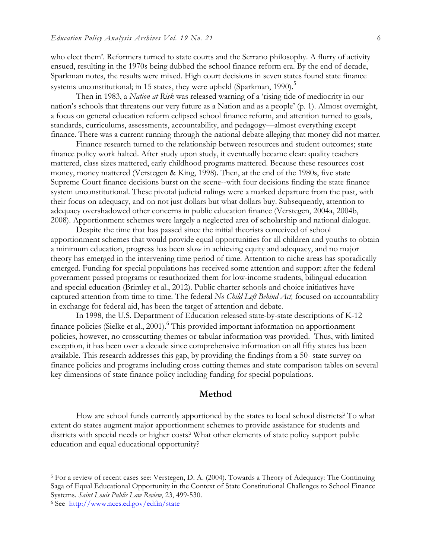who elect them'. Reformers turned to state courts and the Serrano philosophy. A flurry of activity ensued, resulting in the 1970s being dubbed the school finance reform era. By the end of decade, Sparkman notes, the results were mixed. High court decisions in seven states found state finance systems unconstitutional; in 15 states, they were upheld (Sparkman, 1990).<sup>5</sup>

Then in 1983, a *Nation at Risk* was released warning of a 'rising tide of mediocrity in our nation's schools that threatens our very future as a Nation and as a people' (p. 1). Almost overnight, a focus on general education reform eclipsed school finance reform, and attention turned to goals, standards, curriculums, assessments, accountability, and pedagogy—almost everything except finance. There was a current running through the national debate alleging that money did not matter.

Finance research turned to the relationship between resources and student outcomes; state finance policy work halted. After study upon study, it eventually became clear: quality teachers mattered, class sizes mattered, early childhood programs mattered. Because these resources cost money, money mattered (Verstegen & King, 1998). Then, at the end of the 1980s, five state Supreme Court finance decisions burst on the scene--with four decisions finding the state finance system unconstitutional. These pivotal judicial rulings were a marked departure from the past, with their focus on adequacy, and on not just dollars but what dollars buy. Subsequently, attention to adequacy overshadowed other concerns in public education finance (Verstegen, 2004a, 2004b, 2008). Apportionment schemes were largely a neglected area of scholarship and national dialogue.

Despite the time that has passed since the initial theorists conceived of school apportionment schemes that would provide equal opportunities for all children and youths to obtain a minimum education, progress has been slow in achieving equity and adequacy, and no major theory has emerged in the intervening time period of time. Attention to niche areas has sporadically emerged. Funding for special populations has received some attention and support after the federal government passed programs or reauthorized them for low-income students, bilingual education and special education (Brimley et al., 2012). Public charter schools and choice initiatives have captured attention from time to time. The federal *No Child Left Behind Act,* focused on accountability in exchange for federal aid, has been the target of attention and debate.

In 1998, the U.S. Department of Education released state-by-state descriptions of K-12 finance policies (Sielke et al., 2001).<sup>6</sup> This provided important information on apportionment policies, however, no crosscutting themes or tabular information was provided. Thus, with limited exception, it has been over a decade since comprehensive information on all fifty states has been available. This research addresses this gap, by providing the findings from a 50- state survey on finance policies and programs including cross cutting themes and state comparison tables on several key dimensions of state finance policy including funding for special populations.

#### **Method**

How are school funds currently apportioned by the states to local school districts? To what extent do states augment major apportionment schemes to provide assistance for students and districts with special needs or higher costs? What other elements of state policy support public education and equal educational opportunity?

 <sup>5</sup> For a review of recent cases see: Verstegen, D. A. (2004). Towards a Theory of Adequacy: The Continuing Saga of Equal Educational Opportunity in the Context of State Constitutional Challenges to School Finance Systems. *Saint Louis Public Law Review*, 23, 499-530.

<sup>6</sup> See http://www.nces.ed.gov/edfin/state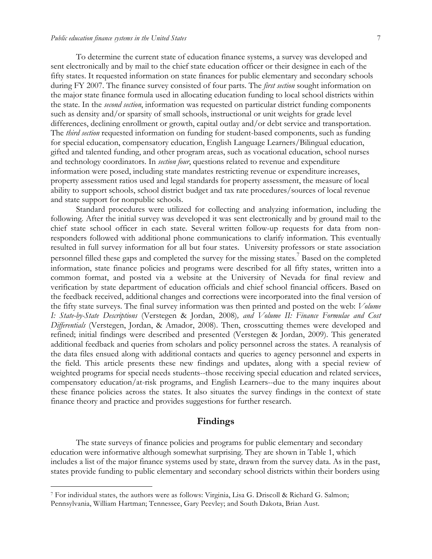To determine the current state of education finance systems, a survey was developed and sent electronically and by mail to the chief state education officer or their designee in each of the fifty states. It requested information on state finances for public elementary and secondary schools during FY 2007. The finance survey consisted of four parts. The *first section* sought information on the major state finance formula used in allocating education funding to local school districts within the state. In the *second section*, information was requested on particular district funding components such as density and/or sparsity of small schools, instructional or unit weights for grade level differences, declining enrollment or growth, capital outlay and/or debt service and transportation. The *third section* requested information on funding for student-based components, such as funding for special education, compensatory education, English Language Learners/Bilingual education, gifted and talented funding, and other program areas, such as vocational education, school nurses and technology coordinators. In *section four*, questions related to revenue and expenditure information were posed, including state mandates restricting revenue or expenditure increases, property assessment ratios used and legal standards for property assessment, the measure of local ability to support schools, school district budget and tax rate procedures/sources of local revenue and state support for nonpublic schools.

Standard procedures were utilized for collecting and analyzing information, including the following. After the initial survey was developed it was sent electronically and by ground mail to the chief state school officer in each state. Several written follow-up requests for data from nonresponders followed with additional phone communications to clarify information. This eventually resulted in full survey information for all but four states. University professors or state association personnel filled these gaps and completed the survey for the missing states.7 Based on the completed information, state finance policies and programs were described for all fifty states, written into a common format, and posted via a website at the University of Nevada for final review and verification by state department of education officials and chief school financial officers. Based on the feedback received, additional changes and corrections were incorporated into the final version of the fifty state surveys. The final survey information was then printed and posted on the web: *Volume I: State-by-State Descriptions* (Verstegen & Jordan, 2008)*, and Volume II: Finance Formulae and Cost Differentials* (Verstegen, Jordan, & Amador, 2008). Then, crosscutting themes were developed and refined; initial findings were described and presented (Verstegen & Jordan, 2009). This generated additional feedback and queries from scholars and policy personnel across the states. A reanalysis of the data files ensued along with additional contacts and queries to agency personnel and experts in the field. This article presents these new findings and updates, along with a special review of weighted programs for special needs students--those receiving special education and related services, compensatory education/at-risk programs, and English Learners--due to the many inquires about these finance policies across the states. It also situates the survey findings in the context of state finance theory and practice and provides suggestions for further research.

#### **Findings**

The state surveys of finance policies and programs for public elementary and secondary education were informative although somewhat surprising. They are shown in Table 1, which includes a list of the major finance systems used by state, drawn from the survey data. As in the past, states provide funding to public elementary and secondary school districts within their borders using

 <sup>7</sup> For individual states, the authors were as follows: Virginia, Lisa G. Driscoll & Richard G. Salmon; Pennsylvania, William Hartman; Tennessee, Gary Peevley; and South Dakota, Brian Aust.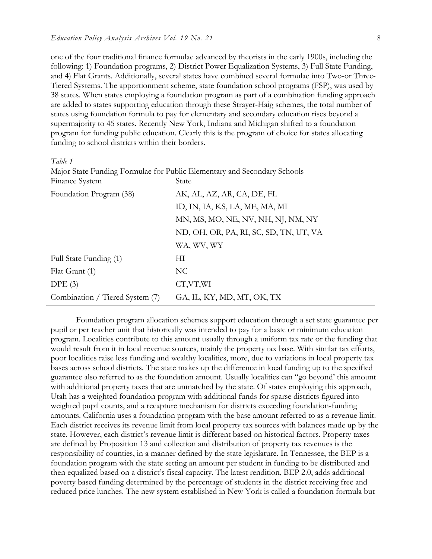one of the four traditional finance formulae advanced by theorists in the early 1900s, including the following: 1) Foundation programs, 2) District Power Equalization Systems, 3) Full State Funding, and 4) Flat Grants. Additionally, several states have combined several formulae into Two-or Three-Tiered Systems. The apportionment scheme, state foundation school programs (FSP), was used by 38 states. When states employing a foundation program as part of a combination funding approach are added to states supporting education through these Strayer-Haig schemes, the total number of states using foundation formula to pay for elementary and secondary education rises beyond a supermajority to 45 states. Recently New York, Indiana and Michigan shifted to a foundation program for funding public education. Clearly this is the program of choice for states allocating funding to school districts within their borders.

*Table 1*

| Finance System                  | State                                  |
|---------------------------------|----------------------------------------|
| Foundation Program (38)         | AK, AL, AZ, AR, CA, DE, FL             |
|                                 | ID, IN, IA, KS, LA, ME, MA, MI         |
|                                 | MN, MS, MO, NE, NV, NH, NJ, NM, NY     |
|                                 | ND, OH, OR, PA, RI, SC, SD, TN, UT, VA |
|                                 | WA, WV, WY                             |
| Full State Funding (1)          | ΗΙ                                     |
| Flat Grant (1)                  | N <sub>C</sub>                         |
| DPE(3)                          | CT,VT,WI                               |
| Combination / Tiered System (7) | GA, IL, KY, MD, MT, OK, TX             |
|                                 |                                        |

Major State Funding Formulae for Public Elementary and Secondary Schools

Foundation program allocation schemes support education through a set state guarantee per pupil or per teacher unit that historically was intended to pay for a basic or minimum education program. Localities contribute to this amount usually through a uniform tax rate or the funding that would result from it in local revenue sources, mainly the property tax base. With similar tax efforts, poor localities raise less funding and wealthy localities, more, due to variations in local property tax bases across school districts. The state makes up the difference in local funding up to the specified guarantee also referred to as the foundation amount. Usually localities can "go beyond' this amount with additional property taxes that are unmatched by the state. Of states employing this approach, Utah has a weighted foundation program with additional funds for sparse districts figured into weighted pupil counts, and a recapture mechanism for districts exceeding foundation-funding amounts. California uses a foundation program with the base amount referred to as a revenue limit. Each district receives its revenue limit from local property tax sources with balances made up by the state. However, each district's revenue limit is different based on historical factors. Property taxes are defined by Proposition 13 and collection and distribution of property tax revenues is the responsibility of counties, in a manner defined by the state legislature. In Tennessee, the BEP is a foundation program with the state setting an amount per student in funding to be distributed and then equalized based on a district's fiscal capacity. The latest rendition, BEP 2.0, adds additional poverty based funding determined by the percentage of students in the district receiving free and reduced price lunches. The new system established in New York is called a foundation formula but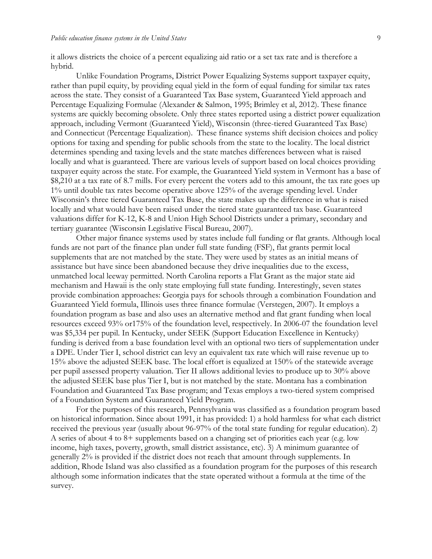it allows districts the choice of a percent equalizing aid ratio or a set tax rate and is therefore a hybrid.

Unlike Foundation Programs, District Power Equalizing Systems support taxpayer equity, rather than pupil equity, by providing equal yield in the form of equal funding for similar tax rates across the state. They consist of a Guaranteed Tax Base system, Guaranteed Yield approach and Percentage Equalizing Formulae (Alexander & Salmon, 1995; Brimley et al, 2012). These finance systems are quickly becoming obsolete. Only three states reported using a district power equalization approach, including Vermont (Guaranteed Yield), Wisconsin (three-tiered Guaranteed Tax Base) and Connecticut (Percentage Equalization). These finance systems shift decision choices and policy options for taxing and spending for public schools from the state to the locality. The local district determines spending and taxing levels and the state matches differences between what is raised locally and what is guaranteed. There are various levels of support based on local choices providing taxpayer equity across the state. For example, the Guaranteed Yield system in Vermont has a base of \$8,210 at a tax rate of 8.7 mills. For every percent the voters add to this amount, the tax rate goes up 1% until double tax rates become operative above 125% of the average spending level. Under Wisconsin's three tiered Guaranteed Tax Base, the state makes up the difference in what is raised locally and what would have been raised under the tiered state guaranteed tax base. Guaranteed valuations differ for K-12, K-8 and Union High School Districts under a primary, secondary and tertiary guarantee (Wisconsin Legislative Fiscal Bureau, 2007).

Other major finance systems used by states include full funding or flat grants. Although local funds are not part of the finance plan under full state funding (FSF), flat grants permit local supplements that are not matched by the state. They were used by states as an initial means of assistance but have since been abandoned because they drive inequalities due to the excess, unmatched local leeway permitted. North Carolina reports a Flat Grant as the major state aid mechanism and Hawaii is the only state employing full state funding. Interestingly, seven states provide combination approaches: Georgia pays for schools through a combination Foundation and Guaranteed Yield formula, Illinois uses three finance formulae (Verstegen, 2007). It employs a foundation program as base and also uses an alternative method and flat grant funding when local resources exceed 93% or175% of the foundation level, respectively. In 2006-07 the foundation level was \$5,334 per pupil. In Kentucky, under SEEK (Support Education Excellence in Kentucky) funding is derived from a base foundation level with an optional two tiers of supplementation under a DPE. Under Tier I, school district can levy an equivalent tax rate which will raise revenue up to 15% above the adjusted SEEK base. The local effort is equalized at 150% of the statewide average per pupil assessed property valuation. Tier II allows additional levies to produce up to 30% above the adjusted SEEK base plus Tier I, but is not matched by the state. Montana has a combination Foundation and Guaranteed Tax Base program; and Texas employs a two-tiered system comprised of a Foundation System and Guaranteed Yield Program.

For the purposes of this research, Pennsylvania was classified as a foundation program based on historical information. Since about 1991, it has provided: 1) a hold harmless for what each district received the previous year (usually about 96-97% of the total state funding for regular education). 2) A series of about 4 to 8+ supplements based on a changing set of priorities each year (e.g. low income, high taxes, poverty, growth, small district assistance, etc). 3) A minimum guarantee of generally 2% is provided if the district does not reach that amount through supplements. In addition, Rhode Island was also classified as a foundation program for the purposes of this research although some information indicates that the state operated without a formula at the time of the survey.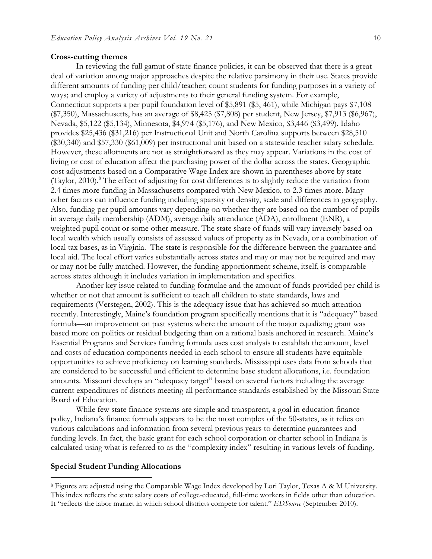#### **Cross-cutting themes**

In reviewing the full gamut of state finance policies, it can be observed that there is a great deal of variation among major approaches despite the relative parsimony in their use. States provide different amounts of funding per child/teacher; count students for funding purposes in a variety of ways; and employ a variety of adjustments to their general funding system. For example, Connecticut supports a per pupil foundation level of \$5,891 (\$5, 461), while Michigan pays \$7,108 (\$7,350), Massachusetts, has an average of \$8,425 (\$7,808) per student, New Jersey, \$7,913 (\$6,967), Nevada, \$5,122 (\$5,134), Minnesota, \$4,974 (\$5,176), and New Mexico, \$3,446 (\$3,499). Idaho provides \$25,436 (\$31,216) per Instructional Unit and North Carolina supports between \$28,510 (\$30,340) and \$57,330 (\$61,009) per instructional unit based on a statewide teacher salary schedule. However, these allotments are not as straightforward as they may appear. Variations in the cost of living or cost of education affect the purchasing power of the dollar across the states. Geographic cost adjustments based on a Comparative Wage Index are shown in parentheses above by state (Taylor, 2010).<sup>8</sup> The effect of adjusting for cost differences is to slightly reduce the variation from 2.4 times more funding in Massachusetts compared with New Mexico, to 2.3 times more. Many other factors can influence funding including sparsity or density, scale and differences in geography. Also, funding per pupil amounts vary depending on whether they are based on the number of pupils in average daily membership (ADM), average daily attendance (ADA), enrollment (ENR), a weighted pupil count or some other measure. The state share of funds will vary inversely based on local wealth which usually consists of assessed values of property as in Nevada, or a combination of local tax bases, as in Virginia. The state is responsible for the difference between the guarantee and local aid. The local effort varies substantially across states and may or may not be required and may or may not be fully matched. However, the funding apportionment scheme, itself, is comparable across states although it includes variation in implementation and specifics.

Another key issue related to funding formulae and the amount of funds provided per child is whether or not that amount is sufficient to teach all children to state standards, laws and requirements (Verstegen, 2002). This is the adequacy issue that has achieved so much attention recently. Interestingly, Maine's foundation program specifically mentions that it is "adequacy" based formula—an improvement on past systems where the amount of the major equalizing grant was based more on politics or residual budgeting than on a rational basis anchored in research. Maine's Essential Programs and Services funding formula uses cost analysis to establish the amount, level and costs of education components needed in each school to ensure all students have equitable opportunities to achieve proficiency on learning standards. Mississippi uses data from schools that are considered to be successful and efficient to determine base student allocations, i.e. foundation amounts. Missouri develops an "adequacy target" based on several factors including the average current expenditures of districts meeting all performance standards established by the Missouri State Board of Education.

While few state finance systems are simple and transparent, a goal in education finance policy, Indiana's finance formula appears to be the most complex of the 50-states, as it relies on various calculations and information from several previous years to determine guarantees and funding levels. In fact, the basic grant for each school corporation or charter school in Indiana is calculated using what is referred to as the "complexity index" resulting in various levels of funding.

#### **Special Student Funding Allocations**

 <sup>8</sup> Figures are adjusted using the Comparable Wage Index developed by Lori Taylor, Texas A & M University. This index reflects the state salary costs of college-educated, full-time workers in fields other than education. It "reflects the labor market in which school districts compete for talent." *EDSource* (September 2010).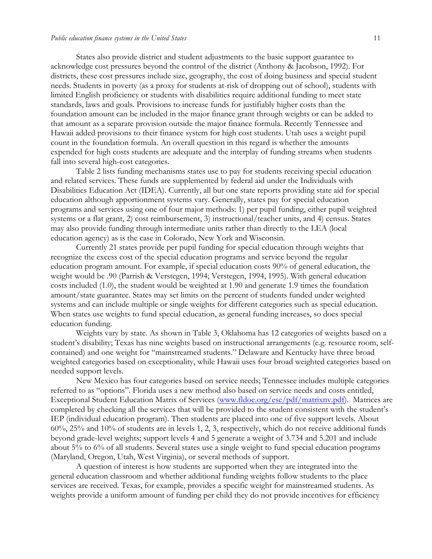States also provide district and student adjustments to the basic support guarantee to acknowledge cost pressures beyond the control of the district (Anthony & Jacobson, 1992). For districts, these cost pressures include size, geography, the cost of doing business and special student needs. Students in poverty (as a proxy for students at-risk of dropping out of school), students with limited English proficiency or students with disabilities require additional funding to meet state standards, laws and goals. Provisions to increase funds for justifiably higher costs than the foundation amount can be included in the major finance grant through weights or can be added to that amount as a separate provision outside the major finance formula. Recently Tennessee and Hawaii added provisions to their finance system for high cost students. Utah uses a weight pupil count in the foundation formula. An overall question in this regard is whether the amounts expended for high costs students are adequate and the interplay of funding streams when students fall into several high-cost categories.

Table 2 lists funding mechanisms states use to pay for students receiving special education and related services. These funds are supplemented by federal aid under the Individuals with Disabilities Education Act (IDEA). Currently, all but one state reports providing state aid for special education although apportionment systems vary. Generally, states pay for special education programs and services using one of four major methods: 1) per pupil funding, either pupil weighted systems or a flat grant, 2) cost reimbursement, 3) instructional/teacher units, and 4) census. States may also provide funding through intermediate units rather than directly to the LEA (local education agency) as is the case in Colorado, New York and Wisconsin.

Currently 21 states provide per pupil funding for special education through weights that recognize the excess cost of the special education programs and service beyond the regular education program amount. For example, if special education costs 90% of general education, the weight would be .90 (Parrish & Verstegen, 1994; Verstegen, 1994, 1995). With general education costs included (1.0), the student would be weighted at 1.90 and generate 1.9 times the foundation amount/state guarantee. States may set limits on the percent of students funded under weighted systems and can include multiple or single weights for different categories such as special education. When states use weights to fund special education, as general funding increases, so does special education funding.

Weights vary by state. As shown in Table 3, Oklahoma has 12 categories of weights based on a student's disability; Texas has nine weights based on instructional arrangements (e.g. resource room, selfcontained) and one weight for "mainstreamed students." Delaware and Kentucky have three broad weighted categories based on exceptionality, while Hawaii uses four broad weighted categories based on needed support levels.

New Mexico has four categories based on service needs; Tennessee includes multiple categories referred to as "options". Florida uses a new method also based on service needs and costs entitled, Exceptional Student Education Matrix of Services (www.fldoe.org/ese/pdf/matrixnv.pdf). Matrices are completed by checking all the services that will be provided to the student consistent with the student's IEP (individual education program). Then students are placed into one of five support levels. About 60%, 25% and 10% of students are in levels 1, 2, 3, respectively, which do not receive additional funds beyond grade-level weights; support levels 4 and 5 generate a weight of 3.734 and 5.201 and include about 5% to 6% of all students. Several states use a single weight to fund special education programs (Maryland, Oregon, Utah, West Virginia), or several methods of support.

A question of interest is how students are supported when they are integrated into the general education classroom and whether additional funding weights follow students to the place services are received. Texas, for example, provides a specific weight for mainstreamed students. As weights provide a uniform amount of funding per child they do not provide incentives for efficiency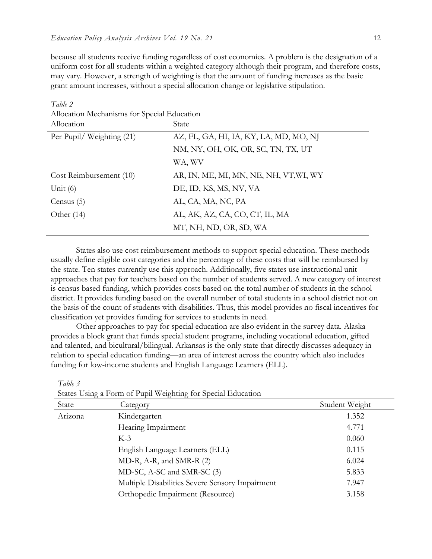because all students receive funding regardless of cost economies. A problem is the designation of a uniform cost for all students within a weighted category although their program, and therefore costs, may vary. However, a strength of weighting is that the amount of funding increases as the basic grant amount increases, without a special allocation change or legislative stipulation.

| Allocation Mechanisms for Special Education |                                        |  |  |
|---------------------------------------------|----------------------------------------|--|--|
| Allocation                                  | State                                  |  |  |
| Per Pupil/ Weighting (21)                   | AZ, FL, GA, HI, IA, KY, LA, MD, MO, NJ |  |  |
|                                             | NM, NY, OH, OK, OR, SC, TN, TX, UT     |  |  |
|                                             | WA, WV                                 |  |  |
| Cost Reimbursement (10)                     | AR, IN, ME, MI, MN, NE, NH, VT,WI, WY  |  |  |
| Unit $(6)$                                  | DE, ID, KS, MS, NV, VA                 |  |  |
| Census $(5)$                                | AL, CA, MA, NC, PA                     |  |  |
| Other $(14)$                                | AL, AK, AZ, CA, CO, CT, IL, MA         |  |  |
|                                             | MT, NH, ND, OR, SD, WA                 |  |  |

*Table 2*  $\overline{A}$ 

States also use cost reimbursement methods to support special education. These methods usually define eligible cost categories and the percentage of these costs that will be reimbursed by the state. Ten states currently use this approach. Additionally, five states use instructional unit approaches that pay for teachers based on the number of students served. A new category of interest is census based funding, which provides costs based on the total number of students in the school district. It provides funding based on the overall number of total students in a school district not on the basis of the count of students with disabilities. Thus, this model provides no fiscal incentives for classification yet provides funding for services to students in need.

Other approaches to pay for special education are also evident in the survey data. Alaska provides a block grant that funds special student programs, including vocational education, gifted and talented, and bicultural/bilingual. Arkansas is the only state that directly discusses adequacy in relation to special education funding—an area of interest across the country which also includes funding for low-income students and English Language Learners (ELL).

|         | States Using a Form of Pupil Weighting for Special Education |                |
|---------|--------------------------------------------------------------|----------------|
| State   | Category                                                     | Student Weight |
| Arizona | Kindergarten                                                 | 1.352          |
|         | Hearing Impairment                                           | 4.771          |
|         | $K-3$                                                        | 0.060          |
|         | English Language Learners (ELL)                              | 0.115          |
|         | MD-R, A-R, and SMR-R (2)                                     | 6.024          |
|         | MD-SC, A-SC and SMR-SC (3)                                   | 5.833          |
|         | Multiple Disabilities Severe Sensory Impairment              | 7.947          |
|         | Orthopedic Impairment (Resource)                             | 3.158          |

*Table 3*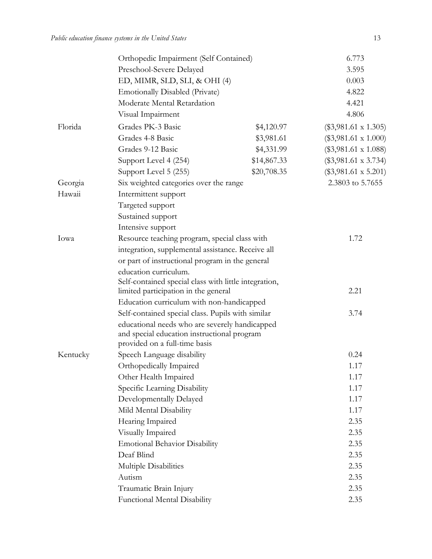|          | Orthopedic Impairment (Self Contained)                                       |             | 6.773                       |
|----------|------------------------------------------------------------------------------|-------------|-----------------------------|
|          | Preschool-Severe Delayed                                                     |             | 3.595                       |
|          | ED, MIMR, SLD, SLI, & OHI (4)                                                |             | 0.003                       |
|          | <b>Emotionally Disabled (Private)</b>                                        |             | 4.822                       |
|          | Moderate Mental Retardation                                                  |             | 4.421                       |
|          | Visual Impairment                                                            |             | 4.806                       |
| Florida  | Grades PK-3 Basic                                                            | \$4,120.97  | $(\$3,981.61 \times 1.305)$ |
|          | Grades 4-8 Basic                                                             | \$3,981.61  | $(\$3,981.61 \times 1.000)$ |
|          | Grades 9-12 Basic                                                            | \$4,331.99  | $(\$3,981.61 \times 1.088)$ |
|          | Support Level 4 (254)                                                        | \$14,867.33 | $(\$3,981.61 \times 3.734)$ |
|          | Support Level 5 (255)                                                        | \$20,708.35 | $(\$3,981.61 \times 5.201)$ |
| Georgia  | Six weighted categories over the range                                       |             | 2.3803 to 5.7655            |
| Hawaii   | Intermittent support                                                         |             |                             |
|          | Targeted support                                                             |             |                             |
|          | Sustained support                                                            |             |                             |
|          | Intensive support                                                            |             |                             |
| Iowa     | Resource teaching program, special class with                                |             | 1.72                        |
|          | integration, supplemental assistance. Receive all                            |             |                             |
|          | or part of instructional program in the general                              |             |                             |
|          | education curriculum.                                                        |             |                             |
|          | Self-contained special class with little integration,                        |             |                             |
|          | limited participation in the general                                         |             | 2.21                        |
|          | Education curriculum with non-handicapped                                    |             |                             |
|          | Self-contained special class. Pupils with similar                            |             | 3.74                        |
|          | educational needs who are severely handicapped                               |             |                             |
|          | and special education instructional program<br>provided on a full-time basis |             |                             |
| Kentucky | Speech Language disability                                                   |             | 0.24                        |
|          | Orthopedically Impaired                                                      |             | 1.17                        |
|          | Other Health Impaired                                                        |             | 1.17                        |
|          | Specific Learning Disability                                                 |             | 1.17                        |
|          | Developmentally Delayed                                                      |             | 1.17                        |
|          | Mild Mental Disability                                                       |             | 1.17                        |
|          | Hearing Impaired                                                             |             | 2.35                        |
|          | Visually Impaired                                                            |             | 2.35                        |
|          | <b>Emotional Behavior Disability</b>                                         |             | 2.35                        |
|          | Deaf Blind                                                                   |             | 2.35                        |
|          | Multiple Disabilities                                                        |             | 2.35                        |
|          | Autism                                                                       |             | 2.35                        |
|          | Traumatic Brain Injury                                                       |             | 2.35                        |
|          | <b>Functional Mental Disability</b>                                          |             | 2.35                        |
|          |                                                                              |             |                             |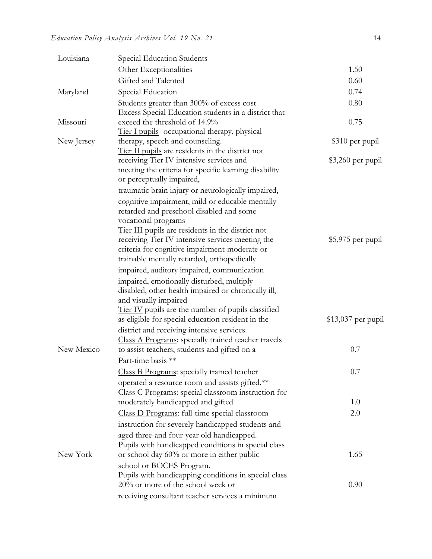| Louisiana  | Special Education Students                                                                        |                     |
|------------|---------------------------------------------------------------------------------------------------|---------------------|
|            | Other Exceptionalities                                                                            | 1.50                |
|            | Gifted and Talented                                                                               | 0.60                |
| Maryland   | Special Education                                                                                 | 0.74                |
|            | Students greater than 300% of excess cost                                                         | 0.80                |
|            | Excess Special Education students in a district that                                              |                     |
| Missouri   | exceed the threshold of 14.9%                                                                     | 0.75                |
|            | Tier I pupils- occupational therapy, physical                                                     |                     |
| New Jersey | therapy, speech and counseling.                                                                   | \$310 per pupil     |
|            | Tier II pupils are residents in the district not                                                  |                     |
|            | receiving Tier IV intensive services and<br>meeting the criteria for specific learning disability | $$3,260$ per pupil  |
|            | or perceptually impaired,                                                                         |                     |
|            | traumatic brain injury or neurologically impaired,                                                |                     |
|            | cognitive impairment, mild or educable mentally                                                   |                     |
|            | retarded and preschool disabled and some                                                          |                     |
|            | vocational programs                                                                               |                     |
|            | Tier III pupils are residents in the district not                                                 |                     |
|            | receiving Tier IV intensive services meeting the                                                  | $$5,975$ per pupil  |
|            | criteria for cognitive impairment-moderate or                                                     |                     |
|            | trainable mentally retarded, orthopedically                                                       |                     |
|            | impaired, auditory impaired, communication                                                        |                     |
|            | impaired, emotionally disturbed, multiply                                                         |                     |
|            | disabled, other health impaired or chronically ill,<br>and visually impaired                      |                     |
|            | Tier IV pupils are the number of pupils classified                                                |                     |
|            | as eligible for special education resident in the                                                 | $$13,037$ per pupil |
|            | district and receiving intensive services.                                                        |                     |
|            | Class A Programs: specially trained teacher travels                                               |                     |
| New Mexico | to assist teachers, students and gifted on a                                                      | 0.7                 |
|            | Part-time basis **                                                                                |                     |
|            | Class B Programs: specially trained teacher                                                       | 0.7                 |
|            | operated a resource room and assists gifted.**                                                    |                     |
|            | Class C Programs: special classroom instruction for                                               |                     |
|            | moderately handicapped and gifted                                                                 | 1.0                 |
|            | Class D Programs: full-time special classroom                                                     | 2.0                 |
|            | instruction for severely handicapped students and                                                 |                     |
|            | aged three-and four-year old handicapped.                                                         |                     |
|            | Pupils with handicapped conditions in special class                                               |                     |
| New York   | or school day 60% or more in either public                                                        | 1.65                |
|            | school or BOCES Program.                                                                          |                     |
|            | Pupils with handicapping conditions in special class<br>20% or more of the school week or         | 0.90                |
|            |                                                                                                   |                     |
|            | receiving consultant teacher services a minimum                                                   |                     |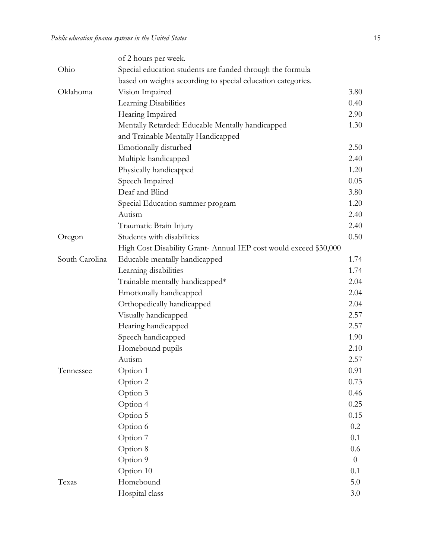|                | of 2 hours per week.                                              |          |  |
|----------------|-------------------------------------------------------------------|----------|--|
| Ohio           | Special education students are funded through the formula         |          |  |
|                | based on weights according to special education categories.       |          |  |
| Oklahoma       | Vision Impaired                                                   | 3.80     |  |
|                | Learning Disabilities                                             | 0.40     |  |
|                | Hearing Impaired                                                  | 2.90     |  |
|                | Mentally Retarded: Educable Mentally handicapped                  | 1.30     |  |
|                | and Trainable Mentally Handicapped                                |          |  |
|                | Emotionally disturbed                                             | 2.50     |  |
|                | Multiple handicapped                                              | 2.40     |  |
|                | Physically handicapped                                            | 1.20     |  |
|                | Speech Impaired                                                   | 0.05     |  |
|                | Deaf and Blind                                                    | 3.80     |  |
|                | Special Education summer program                                  | 1.20     |  |
|                | Autism                                                            | 2.40     |  |
|                | Traumatic Brain Injury                                            | 2.40     |  |
| Oregon         | Students with disabilities                                        | 0.50     |  |
|                | High Cost Disability Grant- Annual IEP cost would exceed \$30,000 |          |  |
| South Carolina | Educable mentally handicapped                                     | 1.74     |  |
|                | Learning disabilities                                             | 1.74     |  |
|                | Trainable mentally handicapped*                                   | 2.04     |  |
|                | Emotionally handicapped                                           | 2.04     |  |
|                | Orthopedically handicapped                                        | 2.04     |  |
|                | Visually handicapped                                              | 2.57     |  |
|                | Hearing handicapped                                               | 2.57     |  |
|                | Speech handicapped                                                | 1.90     |  |
|                | Homebound pupils                                                  | 2.10     |  |
|                | Autism                                                            | 2.57     |  |
| Tennessee      | Option 1                                                          | 0.91     |  |
|                | Option 2                                                          | 0.73     |  |
|                | Option 3                                                          | 0.46     |  |
|                | Option 4                                                          | 0.25     |  |
|                | Option 5                                                          | 0.15     |  |
|                | Option 6                                                          | 0.2      |  |
|                | Option 7                                                          | 0.1      |  |
|                | Option 8                                                          | 0.6      |  |
|                | Option 9                                                          | $\theta$ |  |
|                | Option 10                                                         | 0.1      |  |
| Texas          | Homebound                                                         | 5.0      |  |
|                | Hospital class                                                    | 3.0      |  |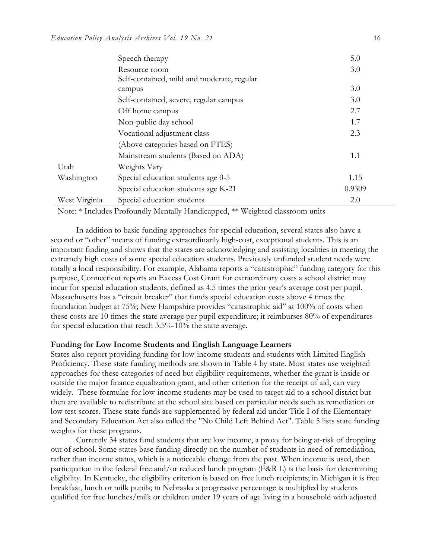|               | Speech therapy                             | 5.0    |
|---------------|--------------------------------------------|--------|
|               | Resource room                              | 3.0    |
|               | Self-contained, mild and moderate, regular |        |
|               | campus                                     | 3.0    |
|               | Self-contained, severe, regular campus     | 3.0    |
|               | Off home campus                            | 2.7    |
|               | Non-public day school                      | 1.7    |
|               | Vocational adjustment class                | 2.3    |
|               | (Above categories based on FTES)           |        |
|               | Mainstream students (Based on ADA)         | 1.1    |
| Utah          | Weights Vary                               |        |
| Washington    | Special education students age 0-5         | 1.15   |
|               | Special education students age K-21        | 0.9309 |
| West Virginia | Special education students                 | 2.0    |

Note: \* Includes Profoundly Mentally Handicapped, \*\* Weighted classroom units

 In addition to basic funding approaches for special education, several states also have a second or "other" means of funding extraordinarily high-cost, exceptional students. This is an important finding and shows that the states are acknowledging and assisting localities in meeting the extremely high costs of some special education students. Previously unfunded student needs were totally a local responsibility. For example, Alabama reports a "catastrophic" funding category for this purpose, Connecticut reports an Excess Cost Grant for extraordinary costs a school district may incur for special education students, defined as 4.5 times the prior year's average cost per pupil. Massachusetts has a "circuit breaker" that funds special education costs above 4 times the foundation budget at 75%; New Hampshire provides "catastrophic aid" at 100% of costs when these costs are 10 times the state average per pupil expenditure; it reimburses 80% of expenditures for special education that reach 3.5%-10% the state average.

#### **Funding for Low Income Students and English Language Learners**

States also report providing funding for low-income students and students with Limited English Proficiency. These state funding methods are shown in Table 4 by state. Most states use weighted approaches for these categories of need but eligibility requirements, whether the grant is inside or outside the major finance equalization grant, and other criterion for the receipt of aid, can vary widely. These formulae for low-income students may be used to target aid to a school district but then are available to redistribute at the school site based on particular needs such as remediation or low test scores. These state funds are supplemented by federal aid under Title I of the Elementary and Secondary Education Act also called the "No Child Left Behind Act". Table 5 lists state funding weights for these programs.

Currently 34 states fund students that are low income, a proxy for being at-risk of dropping out of school. Some states base funding directly on the number of students in need of remediation, rather than income status, which is a noticeable change from the past. When income is used, then participation in the federal free and/or reduced lunch program (F&R L) is the basis for determining eligibility. In Kentucky, the eligibility criterion is based on free lunch recipients; in Michigan it is free breakfast, lunch or milk pupils; in Nebraska a progressive percentage is multiplied by students qualified for free lunches/milk or children under 19 years of age living in a household with adjusted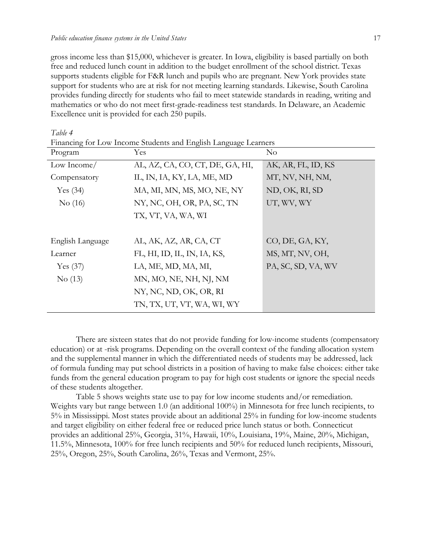gross income less than \$15,000, whichever is greater. In Iowa, eligibility is based partially on both free and reduced lunch count in addition to the budget enrollment of the school district. Texas supports students eligible for F&R lunch and pupils who are pregnant. New York provides state support for students who are at risk for not meeting learning standards. Likewise, South Carolina provides funding directly for students who fail to meet statewide standards in reading, writing and mathematics or who do not meet first-grade-readiness test standards. In Delaware, an Academic Excellence unit is provided for each 250 pupils.

| Financing for Low Income Students and English Language Learners |                                 |                    |  |
|-----------------------------------------------------------------|---------------------------------|--------------------|--|
| Program                                                         | Yes                             | $\rm No$           |  |
| Low Income/                                                     | AL, AZ, CA, CO, CT, DE, GA, HI, | AK, AR, FL, ID, KS |  |
| Compensatory                                                    | IL, IN, IA, KY, LA, ME, MD      | MT, NV, NH, NM,    |  |
| Yes $(34)$                                                      | MA, MI, MN, MS, MO, NE, NY      | ND, OK, RI, SD     |  |
| No(16)                                                          | NY, NC, OH, OR, PA, SC, TN      | UT, WV, WY         |  |
|                                                                 | TX, VT, VA, WA, WI              |                    |  |
|                                                                 |                                 |                    |  |
| English Language                                                | AL, AK, AZ, AR, CA, CT          | CO, DE, GA, KY,    |  |
| Learner                                                         | FL, HI, ID, IL, IN, IA, KS,     | MS, MT, NV, OH,    |  |
| Yes $(37)$                                                      | LA, ME, MD, MA, MI,             | PA, SC, SD, VA, WV |  |
| No(13)                                                          | MN, MO, NE, NH, NJ, NM          |                    |  |
|                                                                 | NY, NC, ND, OK, OR, RI          |                    |  |
|                                                                 | TN, TX, UT, VT, WA, WI, WY      |                    |  |

There are sixteen states that do not provide funding for low-income students (compensatory education) or at -risk programs. Depending on the overall context of the funding allocation system and the supplemental manner in which the differentiated needs of students may be addressed, lack of formula funding may put school districts in a position of having to make false choices: either take funds from the general education program to pay for high cost students or ignore the special needs of these students altogether.

Table 5 shows weights state use to pay for low income students and/or remediation. Weights vary but range between 1.0 (an additional 100%) in Minnesota for free lunch recipients, to 5% in Mississippi. Most states provide about an additional 25% in funding for low-income students and target eligibility on either federal free or reduced price lunch status or both. Connecticut provides an additional 25%, Georgia, 31%, Hawaii, 10%, Louisiana, 19%, Maine, 20%, Michigan, 11.5%, Minnesota, 100% for free lunch recipients and 50% for reduced lunch recipients, Missouri, 25%, Oregon, 25%, South Carolina, 26%, Texas and Vermont, 25%.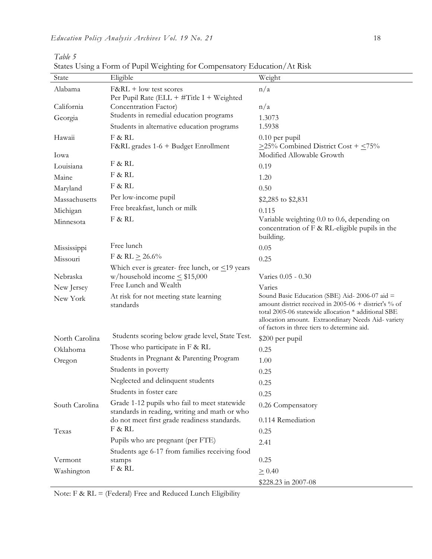*Table 5*

| Weight<br>Eligible<br>State<br>Alabama<br>n/a<br>$F\&RL + low$ test scores<br>Per Pupil Rate (ELL + $\#$ Title I + Weighted<br>California<br>Concentration Factor)<br>n/a<br>Students in remedial education programs<br>Georgia<br>1.3073<br>Students in alternative education programs<br>1.5938<br>Hawaii<br>F & RL<br>$0.10$ per pupil<br>F&RL grades 1-6 + Budget Enrollment<br>$\geq$ 25% Combined District Cost + $\leq$ 75%<br>Modified Allowable Growth<br>Iowa<br>F & RL<br>0.19<br>Louisiana<br>F & RL<br>Maine<br>1.20<br>F & RL<br>Maryland<br>0.50<br>Per low-income pupil<br>Massachusetts<br>\$2,285 to \$2,831<br>Free breakfast, lunch or milk<br>Michigan<br>0.115<br>F & RL<br>Variable weighting 0.0 to 0.6, depending on<br>Minnesota |
|------------------------------------------------------------------------------------------------------------------------------------------------------------------------------------------------------------------------------------------------------------------------------------------------------------------------------------------------------------------------------------------------------------------------------------------------------------------------------------------------------------------------------------------------------------------------------------------------------------------------------------------------------------------------------------------------------------------------------------------------------------|
|                                                                                                                                                                                                                                                                                                                                                                                                                                                                                                                                                                                                                                                                                                                                                            |
|                                                                                                                                                                                                                                                                                                                                                                                                                                                                                                                                                                                                                                                                                                                                                            |
|                                                                                                                                                                                                                                                                                                                                                                                                                                                                                                                                                                                                                                                                                                                                                            |
|                                                                                                                                                                                                                                                                                                                                                                                                                                                                                                                                                                                                                                                                                                                                                            |
|                                                                                                                                                                                                                                                                                                                                                                                                                                                                                                                                                                                                                                                                                                                                                            |
|                                                                                                                                                                                                                                                                                                                                                                                                                                                                                                                                                                                                                                                                                                                                                            |
|                                                                                                                                                                                                                                                                                                                                                                                                                                                                                                                                                                                                                                                                                                                                                            |
|                                                                                                                                                                                                                                                                                                                                                                                                                                                                                                                                                                                                                                                                                                                                                            |
|                                                                                                                                                                                                                                                                                                                                                                                                                                                                                                                                                                                                                                                                                                                                                            |
|                                                                                                                                                                                                                                                                                                                                                                                                                                                                                                                                                                                                                                                                                                                                                            |
|                                                                                                                                                                                                                                                                                                                                                                                                                                                                                                                                                                                                                                                                                                                                                            |
|                                                                                                                                                                                                                                                                                                                                                                                                                                                                                                                                                                                                                                                                                                                                                            |
|                                                                                                                                                                                                                                                                                                                                                                                                                                                                                                                                                                                                                                                                                                                                                            |
|                                                                                                                                                                                                                                                                                                                                                                                                                                                                                                                                                                                                                                                                                                                                                            |
| concentration of $F$ & RL-eligible pupils in the                                                                                                                                                                                                                                                                                                                                                                                                                                                                                                                                                                                                                                                                                                           |
| building.<br>Free lunch                                                                                                                                                                                                                                                                                                                                                                                                                                                                                                                                                                                                                                                                                                                                    |
| Mississippi<br>0.05<br>F & RL $\geq$ 26.6%                                                                                                                                                                                                                                                                                                                                                                                                                                                                                                                                                                                                                                                                                                                 |
| Missouri<br>0.25                                                                                                                                                                                                                                                                                                                                                                                                                                                                                                                                                                                                                                                                                                                                           |
| Which ever is greater-free lunch, or $\leq$ 19 years<br>w/household income $\leq$ \$15,000<br>Nebraska<br>Varies 0.05 - 0.30                                                                                                                                                                                                                                                                                                                                                                                                                                                                                                                                                                                                                               |
| Free Lunch and Wealth<br>Varies<br>New Jersey                                                                                                                                                                                                                                                                                                                                                                                                                                                                                                                                                                                                                                                                                                              |
| Sound Basic Education (SBE) Aid-2006-07 aid =<br>At risk for not meeting state learning<br>New York                                                                                                                                                                                                                                                                                                                                                                                                                                                                                                                                                                                                                                                        |
| amount district received in 2005-06 + district's % of<br>standards                                                                                                                                                                                                                                                                                                                                                                                                                                                                                                                                                                                                                                                                                         |
| total 2005-06 statewide allocation * additional SBE<br>allocation amount. Extraordinary Needs Aid- variety                                                                                                                                                                                                                                                                                                                                                                                                                                                                                                                                                                                                                                                 |
| of factors in three tiers to determine aid.                                                                                                                                                                                                                                                                                                                                                                                                                                                                                                                                                                                                                                                                                                                |
| Students scoring below grade level, State Test.<br>North Carolina<br>\$200 per pupil                                                                                                                                                                                                                                                                                                                                                                                                                                                                                                                                                                                                                                                                       |
| Those who participate in F & RL<br>0.25<br>Oklahoma                                                                                                                                                                                                                                                                                                                                                                                                                                                                                                                                                                                                                                                                                                        |
| Students in Pregnant & Parenting Program<br>1.00<br>Oregon                                                                                                                                                                                                                                                                                                                                                                                                                                                                                                                                                                                                                                                                                                 |
| Students in poverty<br>0.25                                                                                                                                                                                                                                                                                                                                                                                                                                                                                                                                                                                                                                                                                                                                |
| Neglected and delinquent students<br>0.25                                                                                                                                                                                                                                                                                                                                                                                                                                                                                                                                                                                                                                                                                                                  |
| Students in foster care<br>0.25                                                                                                                                                                                                                                                                                                                                                                                                                                                                                                                                                                                                                                                                                                                            |
| Grade 1-12 pupils who fail to meet statewide<br>South Carolina<br>0.26 Compensatory                                                                                                                                                                                                                                                                                                                                                                                                                                                                                                                                                                                                                                                                        |
| standards in reading, writing and math or who                                                                                                                                                                                                                                                                                                                                                                                                                                                                                                                                                                                                                                                                                                              |
| do not meet first grade readiness standards.<br>0.114 Remediation<br>F & RL                                                                                                                                                                                                                                                                                                                                                                                                                                                                                                                                                                                                                                                                                |
| Texas<br>0.25                                                                                                                                                                                                                                                                                                                                                                                                                                                                                                                                                                                                                                                                                                                                              |
| Pupils who are pregnant (per FTE)<br>2.41                                                                                                                                                                                                                                                                                                                                                                                                                                                                                                                                                                                                                                                                                                                  |
| Students age 6-17 from families receiving food<br>0.25<br>Vermont<br>stamps                                                                                                                                                                                                                                                                                                                                                                                                                                                                                                                                                                                                                                                                                |
| F & RL<br>Washington<br>$\geq 0.40$                                                                                                                                                                                                                                                                                                                                                                                                                                                                                                                                                                                                                                                                                                                        |
| \$228.23 in 2007-08                                                                                                                                                                                                                                                                                                                                                                                                                                                                                                                                                                                                                                                                                                                                        |

States Using a Form of Pupil Weighting for Compensatory Education/At Risk

Note: F & RL = (Federal) Free and Reduced Lunch Eligibility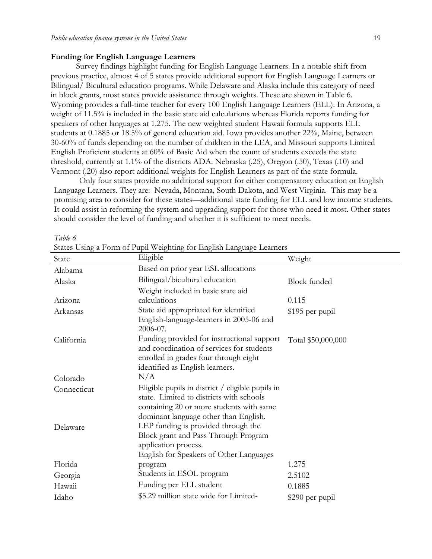#### **Funding for English Language Learners**

Survey findings highlight funding for English Language Learners. In a notable shift from previous practice, almost 4 of 5 states provide additional support for English Language Learners or Bilingual/ Bicultural education programs. While Delaware and Alaska include this category of need in block grants, most states provide assistance through weights. These are shown in Table 6. Wyoming provides a full-time teacher for every 100 English Language Learners (ELL). In Arizona, a weight of 11.5% is included in the basic state aid calculations whereas Florida reports funding for speakers of other languages at 1.275. The new weighted student Hawaii formula supports ELL students at 0.1885 or 18.5% of general education aid. Iowa provides another 22%, Maine, between 30-60% of funds depending on the number of children in the LEA, and Missouri supports Limited English Proficient students at 60% of Basic Aid when the count of students exceeds the state threshold, currently at 1.1% of the districts ADA. Nebraska (.25), Oregon (.50), Texas (.10) and Vermont (.20) also report additional weights for English Learners as part of the state formula.

Only four states provide no additional support for either compensatory education or English Language Learners. They are: Nevada, Montana, South Dakota, and West Virginia. This may be a promising area to consider for these states—additional state funding for ELL and low income students. It could assist in reforming the system and upgrading support for those who need it most. Other states should consider the level of funding and whether it is sufficient to meet needs.

*Table 6*

| State       | Eligible                                                                           | Weight              |
|-------------|------------------------------------------------------------------------------------|---------------------|
| Alabama     | Based on prior year ESL allocations                                                |                     |
| Alaska      | Bilingual/bicultural education                                                     | <b>Block</b> funded |
|             | Weight included in basic state aid                                                 |                     |
| Arizona     | calculations                                                                       | 0.115               |
| Arkansas    | State aid appropriated for identified                                              | \$195 per pupil     |
|             | English-language-learners in 2005-06 and                                           |                     |
|             | 2006-07.                                                                           |                     |
| California  | Funding provided for instructional support                                         | Total \$50,000,000  |
|             | and coordination of services for students<br>enrolled in grades four through eight |                     |
|             | identified as English learners.                                                    |                     |
| Colorado    | N/A                                                                                |                     |
| Connecticut | Eligible pupils in district $/$ eligible pupils in                                 |                     |
|             | state. Limited to districts with schools                                           |                     |
|             | containing 20 or more students with same                                           |                     |
|             | dominant language other than English.                                              |                     |
| Delaware    | LEP funding is provided through the                                                |                     |
|             | Block grant and Pass Through Program                                               |                     |
|             | application process.                                                               |                     |
|             | English for Speakers of Other Languages                                            |                     |
| Florida     | program                                                                            | 1.275               |
| Georgia     | Students in ESOL program                                                           | 2.5102              |
| Hawaii      | Funding per ELL student                                                            | 0.1885              |
| Idaho       | \$5.29 million state wide for Limited-                                             | \$290 per pupil     |

States Using a Form of Pupil Weighting for English Language Learners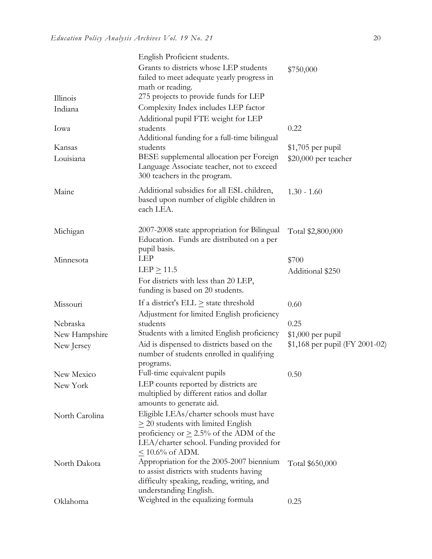|                | English Proficient students.                                                                                                                                                                             |                                |
|----------------|----------------------------------------------------------------------------------------------------------------------------------------------------------------------------------------------------------|--------------------------------|
|                | Grants to districts whose LEP students<br>failed to meet adequate yearly progress in<br>math or reading.                                                                                                 | \$750,000                      |
| Illinois       | 275 projects to provide funds for LEP                                                                                                                                                                    |                                |
| Indiana        | Complexity Index includes LEP factor<br>Additional pupil FTE weight for LEP                                                                                                                              |                                |
| Iowa           | students<br>Additional funding for a full-time bilingual                                                                                                                                                 | 0.22                           |
| Kansas         | students                                                                                                                                                                                                 | $$1,705$ per pupil             |
| Louisiana      | BESE supplemental allocation per Foreign<br>Language Associate teacher, not to exceed<br>300 teachers in the program.                                                                                    | \$20,000 per teacher           |
| Maine          | Additional subsidies for all ESL children,<br>based upon number of eligible children in<br>each LEA.                                                                                                     | $1.30 - 1.60$                  |
| Michigan       | 2007-2008 state appropriation for Bilingual<br>Education. Funds are distributed on a per<br>pupil basis.                                                                                                 | Total \$2,800,000              |
| Minnesota      | <b>LEP</b>                                                                                                                                                                                               | \$700                          |
|                | $LEP \geq 11.5$                                                                                                                                                                                          | Additional \$250               |
|                | For districts with less than 20 LEP,<br>funding is based on 20 students.                                                                                                                                 |                                |
| Missouri       | If a district's $ELL \geq$ state threshold                                                                                                                                                               | 0.60                           |
|                | Adjustment for limited English proficiency                                                                                                                                                               |                                |
| Nebraska       | students                                                                                                                                                                                                 | 0.25                           |
| New Hampshire  | Students with a limited English proficiency                                                                                                                                                              | $$1,000$ per pupil             |
| New Jersey     | Aid is dispensed to districts based on the<br>number of students enrolled in qualifying                                                                                                                  | \$1,168 per pupil (FY 2001-02) |
| New Mexico     | programs.<br>Full-time equivalent pupils                                                                                                                                                                 | 0.50                           |
| New York       | LEP counts reported by districts are<br>multiplied by different ratios and dollar<br>amounts to generate aid.                                                                                            |                                |
| North Carolina | Eligible LEAs/charter schools must have<br>$\geq$ 20 students with limited English<br>proficiency or $\geq 2.5\%$ of the ADM of the<br>LEA/charter school. Funding provided for<br>$\leq 10.6\%$ of ADM. |                                |
| North Dakota   | Appropriation for the 2005-2007 biennium<br>to assist districts with students having<br>difficulty speaking, reading, writing, and<br>understanding English.                                             | Total \$650,000                |
| Oklahoma       | Weighted in the equalizing formula                                                                                                                                                                       | 0.25                           |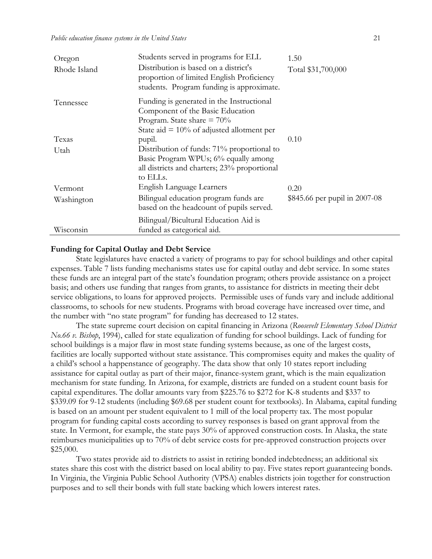| Oregon       | Students served in programs for ELL                                                                                                                            | 1.50                          |
|--------------|----------------------------------------------------------------------------------------------------------------------------------------------------------------|-------------------------------|
| Rhode Island | Distribution is based on a district's<br>proportion of limited English Proficiency<br>students. Program funding is approximate.                                | Total \$31,700,000            |
| Tennessee    | Funding is generated in the Instructional<br>Component of the Basic Education<br>Program. State share $= 70\%$<br>State aid $= 10\%$ of adjusted allotment per |                               |
| Texas        | pupil.                                                                                                                                                         | 0.10                          |
| Utah         | Distribution of funds: 71% proportional to<br>Basic Program WPUs; 6% equally among<br>all districts and charters; 23% proportional<br>to ELLs.                 |                               |
| Vermont      | English Language Learners                                                                                                                                      | 0.20                          |
| Washington   | Bilingual education program funds are<br>based on the headcount of pupils served.                                                                              | \$845.66 per pupil in 2007-08 |
| Wisconsin    | Bilingual/Bicultural Education Aid is<br>funded as categorical aid.                                                                                            |                               |

#### **Funding for Capital Outlay and Debt Service**

State legislatures have enacted a variety of programs to pay for school buildings and other capital expenses. Table 7 lists funding mechanisms states use for capital outlay and debt service. In some states these funds are an integral part of the state's foundation program; others provide assistance on a project basis; and others use funding that ranges from grants, to assistance for districts in meeting their debt service obligations, to loans for approved projects. Permissible uses of funds vary and include additional classrooms, to schools for new students. Programs with broad coverage have increased over time, and the number with "no state program" for funding has decreased to 12 states.

The state supreme court decision on capital financing in Arizona (*Roosevelt Elementary School District No.66 v. Bishop*, 1994), called for state equalization of funding for school buildings. Lack of funding for school buildings is a major flaw in most state funding systems because, as one of the largest costs, facilities are locally supported without state assistance. This compromises equity and makes the quality of a child's school a happenstance of geography. The data show that only 10 states report including assistance for capital outlay as part of their major, finance-system grant, which is the main equalization mechanism for state funding. In Arizona, for example, districts are funded on a student count basis for capital expenditures. The dollar amounts vary from \$225.76 to \$272 for K-8 students and \$337 to \$339.09 for 9-12 students (including \$69.68 per student count for textbooks). In Alabama, capital funding is based on an amount per student equivalent to 1 mill of the local property tax. The most popular program for funding capital costs according to survey responses is based on grant approval from the state. In Vermont, for example, the state pays 30% of approved construction costs. In Alaska, the state reimburses municipalities up to 70% of debt service costs for pre-approved construction projects over \$25,000.

Two states provide aid to districts to assist in retiring bonded indebtedness; an additional six states share this cost with the district based on local ability to pay. Five states report guaranteeing bonds. In Virginia, the Virginia Public School Authority (VPSA) enables districts join together for construction purposes and to sell their bonds with full state backing which lowers interest rates.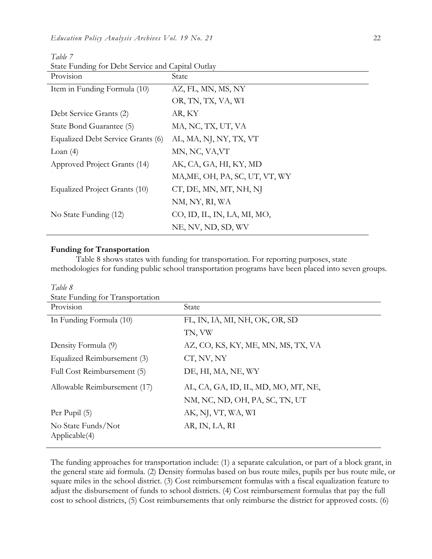| Provision                         | State                          |
|-----------------------------------|--------------------------------|
| Item in Funding Formula (10)      | AZ, FL, MN, MS, NY             |
|                                   | OR, TN, TX, VA, WI             |
| Debt Service Grants (2)           | AR, KY                         |
| State Bond Guarantee (5)          | MA, NC, TX, UT, VA             |
| Equalized Debt Service Grants (6) | AL, MA, NJ, NY, TX, VT         |
| Loan $(4)$                        | MN, NC, VA, VT                 |
| Approved Project Grants (14)      | AK, CA, GA, HI, KY, MD         |
|                                   | MA, ME, OH, PA, SC, UT, VT, WY |
| Equalized Project Grants (10)     | CT, DE, MN, MT, NH, NJ         |
|                                   | NM, NY, RI, WA                 |
| No State Funding (12)             | CO, ID, IL, IN, LA, MI, MO,    |
|                                   | NE, NV, ND, SD, WV             |

*Table 7* State Funding for Debt Service and Capital Outlay

#### **Funding for Transportation**

Table 8 shows states with funding for transportation. For reporting purposes, state methodologies for funding public school transportation programs have been placed into seven groups.

| Table 8<br>State Funding for Transportation |                                     |
|---------------------------------------------|-------------------------------------|
| Provision                                   | State                               |
| In Funding Formula (10)                     | FL, IN, IA, MI, NH, OK, OR, SD      |
|                                             | TN, VW                              |
| Density Formula (9)                         | AZ, CO, KS, KY, ME, MN, MS, TX, VA  |
| Equalized Reimbursement (3)                 | CT, NV, NY                          |
| Full Cost Reimbursement (5)                 | DE, HI, MA, NE, WY                  |
| Allowable Reimbursement (17)                | AL, CA, GA, ID, IL, MD, MO, MT, NE, |
|                                             | NM, NC, ND, OH, PA, SC, TN, UT      |
| Per Pupil (5)                               | AK, NJ, VT, WA, WI                  |
| No State Funds/Not<br>Applicable (4)        | AR, IN, LA, RI                      |

The funding approaches for transportation include: (1) a separate calculation, or part of a block grant, in the general state aid formula. (2) Density formulas based on bus route miles, pupils per bus route mile, or square miles in the school district. (3) Cost reimbursement formulas with a fiscal equalization feature to adjust the disbursement of funds to school districts. (4) Cost reimbursement formulas that pay the full cost to school districts, (5) Cost reimbursements that only reimburse the district for approved costs. (6)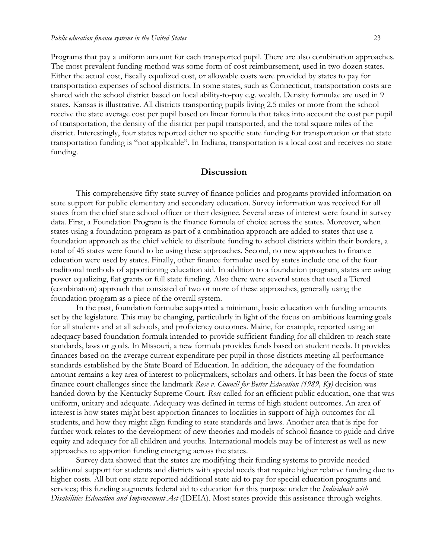Programs that pay a uniform amount for each transported pupil. There are also combination approaches. The most prevalent funding method was some form of cost reimbursement, used in two dozen states. Either the actual cost, fiscally equalized cost, or allowable costs were provided by states to pay for transportation expenses of school districts. In some states, such as Connecticut, transportation costs are shared with the school district based on local ability-to-pay e.g. wealth. Density formulae are used in 9 states. Kansas is illustrative. All districts transporting pupils living 2.5 miles or more from the school receive the state average cost per pupil based on linear formula that takes into account the cost per pupil of transportation, the density of the district per pupil transported, and the total square miles of the district. Interestingly, four states reported either no specific state funding for transportation or that state transportation funding is "not applicable". In Indiana, transportation is a local cost and receives no state funding.

### **Discussion**

This comprehensive fifty-state survey of finance policies and programs provided information on state support for public elementary and secondary education. Survey information was received for all states from the chief state school officer or their designee. Several areas of interest were found in survey data. First, a Foundation Program is the finance formula of choice across the states. Moreover, when states using a foundation program as part of a combination approach are added to states that use a foundation approach as the chief vehicle to distribute funding to school districts within their borders, a total of 45 states were found to be using these approaches. Second, no new approaches to finance education were used by states. Finally, other finance formulae used by states include one of the four traditional methods of apportioning education aid. In addition to a foundation program, states are using power equalizing, flat grants or full state funding. Also there were several states that used a Tiered (combination) approach that consisted of two or more of these approaches, generally using the foundation program as a piece of the overall system.

In the past, foundation formulae supported a minimum, basic education with funding amounts set by the legislature. This may be changing, particularly in light of the focus on ambitious learning goals for all students and at all schools, and proficiency outcomes. Maine, for example, reported using an adequacy based foundation formula intended to provide sufficient funding for all children to reach state standards, laws or goals. In Missouri, a new formula provides funds based on student needs. It provides finances based on the average current expenditure per pupil in those districts meeting all performance standards established by the State Board of Education. In addition, the adequacy of the foundation amount remains a key area of interest to policymakers, scholars and others. It has been the focus of state finance court challenges since the landmark *Rose v. Council for Better Education (1989, Ky)* decision was handed down by the Kentucky Supreme Court. *Rose* called for an efficient public education, one that was uniform, unitary and adequate. Adequacy was defined in terms of high student outcomes. An area of interest is how states might best apportion finances to localities in support of high outcomes for all students, and how they might align funding to state standards and laws. Another area that is ripe for further work relates to the development of new theories and models of school finance to guide and drive equity and adequacy for all children and youths. International models may be of interest as well as new approaches to apportion funding emerging across the states.

Survey data showed that the states are modifying their funding systems to provide needed additional support for students and districts with special needs that require higher relative funding due to higher costs. All but one state reported additional state aid to pay for special education programs and services; this funding augments federal aid to education for this purpose under the *Individuals with Disabilities Education and Improvement Act* (IDEIA). Most states provide this assistance through weights.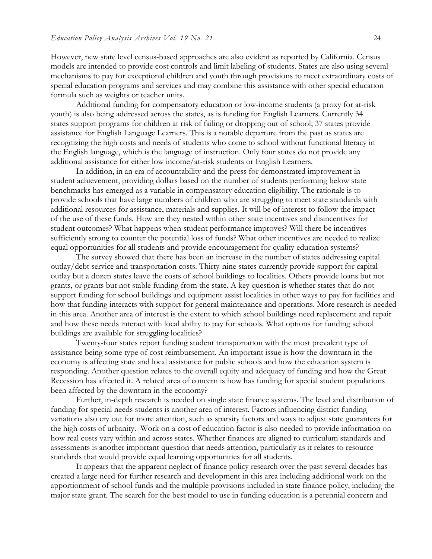However, new state level census-based approaches are also evident as reported by California. Census models are intended to provide cost controls and limit labeling of students. States are also using several mechanisms to pay for exceptional children and youth through provisions to meet extraordinary costs of special education programs and services and may combine this assistance with other special education formula such as weights or teacher units.

Additional funding for compensatory education or low-income students (a proxy for at-risk youth) is also being addressed across the states, as is funding for English Learners. Currently 34 states support programs for children at risk of failing or dropping out of school; 37 states provide assistance for English Language Learners. This is a notable departure from the past as states are recognizing the high costs and needs of students who come to school without functional literacy in the English language, which is the language of instruction. Only four states do not provide any additional assistance for either low income/at-risk students or English Learners.

In addition, in an era of accountability and the press for demonstrated improvement in student achievement, providing dollars based on the number of students performing below state benchmarks has emerged as a variable in compensatory education eligibility. The rationale is to provide schools that have large numbers of children who are struggling to meet state standards with additional resources for assistance, materials and supplies. It will be of interest to follow the impact of the use of these funds. How are they nested within other state incentives and disincentives for student outcomes? What happens when student performance improves? Will there be incentives sufficiently strong to counter the potential loss of funds? What other incentives are needed to realize equal opportunities for all students and provide encouragement for quality education systems?

The survey showed that there has been an increase in the number of states addressing capital outlay/debt service and transportation costs. Thirty-nine states currently provide support for capital outlay but a dozen states leave the costs of school buildings to localities. Others provide loans but not grants, or grants but not stable funding from the state. A key question is whether states that do not support funding for school buildings and equipment assist localities in other ways to pay for facilities and how that funding interacts with support for general maintenance and operations. More research is needed in this area. Another area of interest is the extent to which school buildings need replacement and repair and how these needs interact with local ability to pay for schools. What options for funding school buildings are available for struggling localities?

Twenty-four states report funding student transportation with the most prevalent type of assistance being some type of cost reimbursement. An important issue is how the downturn in the economy is affecting state and local assistance for public schools and how the education system is responding. Another question relates to the overall equity and adequacy of funding and how the Great Recession has affected it. A related area of concern is how has funding for special student populations been affected by the downturn in the economy?

Further, in-depth research is needed on single state finance systems. The level and distribution of funding for special needs students is another area of interest. Factors influencing district funding variations also cry out for more attention, such as sparsity factors and ways to adjust state guarantees for the high costs of urbanity. Work on a cost of education factor is also needed to provide information on how real costs vary within and across states. Whether finances are aligned to curriculum standards and assessments is another important question that needs attention, particularly as it relates to resource standards that would provide equal learning opportunities for all students.

It appears that the apparent neglect of finance policy research over the past several decades has created a large need for further research and development in this area including additional work on the apportionment of school funds and the multiple provisions included in state finance policy, including the major state grant. The search for the best model to use in funding education is a perennial concern and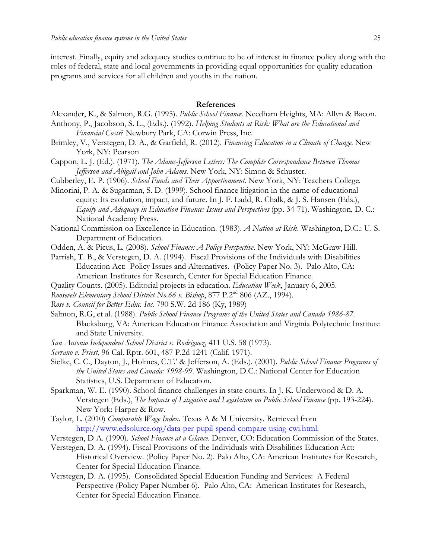interest. Finally, equity and adequacy studies continue to be of interest in finance policy along with the roles of federal, state and local governments in providing equal opportunities for quality education programs and services for all children and youths in the nation.

#### **References**

Alexander, K., & Salmon, R.G. (1995). *Public School Finance*. Needham Heights, MA: Allyn & Bacon. Anthony, P., Jacobson, S. L., (Eds.). (1992). *Helping Students at Risk: What are the Educational and Financial Costs*? Newbury Park, CA: Corwin Press, Inc.

- Brimley, V., Verstegen, D. A., & Garfield, R. (2012). *Financing Education in a Climate of Change*. New York, NY: Pearson
- Cappon, L. J. (Ed.). (1971). *The Adams-Jefferson Letters: The Complete Correspondence Between Thomas Jefferson and Abigail and John Adams*. New York, NY: Simon & Schuster.
- Cubberley, E. P. (1906). *School Funds and Their Apportionment*. New York, NY: Teachers College.
- Minorini, P. A. & Sugarman, S. D. (1999). School finance litigation in the name of educational equity: Its evolution, impact, and future. In J. F. Ladd, R. Chalk, & J. S. Hansen (Eds.), *Equity and Adequacy in Education Finance: Issues and Perspectives* (pp. 34-71). Washington, D. C.: National Academy Press.
- National Commission on Excellence in Education. (1983). *A Nation at Risk*. Washington, D.C.: U. S. Department of Education.
- Odden, A. & Picus, L. (2008). *School Finance: A Policy Perspective*. New York, NY: McGraw Hill.
- Parrish, T. B., & Verstegen, D. A. (1994). Fiscal Provisions of the Individuals with Disabilities Education Act: Policy Issues and Alternatives. (Policy Paper No. 3). Palo Alto, CA: American Institutes for Research, Center for Special Education Finance.
- Quality Counts. (2005). Editorial projects in education. *Education Week*, January 6, 2005.
- *Roosevelt Elementary School District No.66 v. Bishop*, 877 P.2nd 806 (AZ., 1994).
- *Rose v. Council for Better Educ. Inc.* 790 S.W. 2d 186 (Ky, 1989)
- Salmon, R.G, et al. (1988). *Public School Finance Programs of the United States and Canada 1986-87*. Blacksburg, VA: American Education Finance Association and Virginia Polytechnic Institute and State University.
- *San Antonio Independent School District v. Rodriguez*, 411 U.S. 58 (1973).
- *Serrano v. Priest*, 96 Cal. Rptr. 601, 487 P.2d 1241 (Calif. 1971).
- Sielke, C. C., Dayton, J., Holmes, C.T.' & Jefferson, A. (Eds.). (2001). *Public School Finance Programs of the United States and Canada: 1998-99*. Washington, D.C.: National Center for Education Statistics, U.S. Department of Education.
- Sparkman, W. E. (1990). School finance challenges in state courts. In J. K. Underwood & D. A. Verstegen (Eds.), *The Impacts of Litigation and Legislation on Public School Finance* (pp. 193-224). New York: Harper & Row.
- Taylor, L. (2010) *Comparable Wage Index*. Texas A & M University. Retrieved from http://www.edsolurce.org/data-per-pupil-spend-compare-using-cwi.html.
- Verstegen, D A. (1990). *School Finance at a Glance*. Denver, CO: Education Commission of the States.
- Verstegen, D. A. (1994). Fiscal Provisions of the Individuals with Disabilities Education Act: Historical Overview. (Policy Paper No. 2). Palo Alto, CA: American Institutes for Research, Center for Special Education Finance.
- Verstegen, D. A. (1995). Consolidated Special Education Funding and Services: A Federal Perspective (Policy Paper Number 6). Palo Alto, CA: American Institutes for Research, Center for Special Education Finance.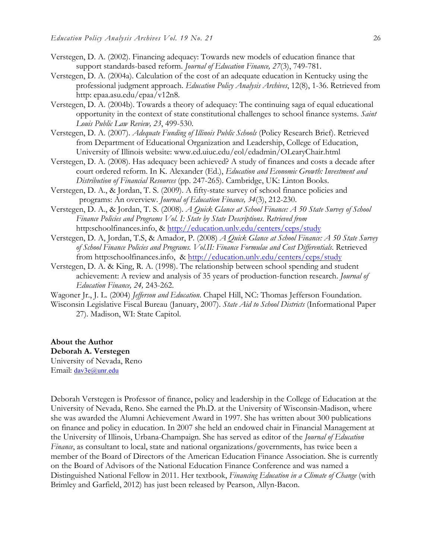- Verstegen, D. A. (2002). Financing adequacy: Towards new models of education finance that support standards-based reform. *Journal of Education Finance, 27*(3), 749-781.
- Verstegen, D. A. (2004a). Calculation of the cost of an adequate education in Kentucky using the professional judgment approach. *Education Policy Analysis Archives*, 12(8), 1-36. Retrieved from http: epaa.asu.edu/epaa/v12n8.
- Verstegen, D. A. (2004b). Towards a theory of adequacy: The continuing saga of equal educational opportunity in the context of state constitutional challenges to school finance systems. *Saint Louis Public Law Review, 23*, 499-530.
- Verstegen, D. A. (2007). *Adequate Funding of Illinois Public Schools* (Policy Research Brief). Retrieved from Department of Educational Organization and Leadership, College of Education, University of Illinois website: www.ed.uiuc.edu/eol/edadmin/OLearyChair.html
- Verstegen, D. A. (2008). Has adequacy been achieved? A study of finances and costs a decade after court ordered reform. In K. Alexander (Ed.), *Education and Economic Growth: Investment and Distribution of Financial Resources* (pp. 247-265). Cambridge, UK: Linton Books.
- Verstegen, D. A., & Jordan, T. S. (2009). A fifty-state survey of school finance policies and programs: An overview. *Journal of Education Finance, 34*(3), 212-230.
- Verstegen, D. A., & Jordan, T. S. (2008). *A Quick Glance at School Finance: A 50 State Survey of School Finance Policies and Programs Vol. I: State by State Descriptions. Retrieved from*  http:schoolfinances.info, & http://education.unlv.edu/centers/ceps/study
- Verstegen, D. A, Jordan, T.S, & Amador, P. (2008) *A Quick Glance at School Finance: A 50 State Survey*  of School Finance Policies and Programs. Vol.II: Finance Formulae and Cost Differentials. Retrieved from http:schoolfinances.info, & http://education.unlv.edu/centers/ceps/study
- Verstegen, D. A. & King, R. A. (1998). The relationship between school spending and student achievement: A review and analysis of 35 years of production-function research. *Journal of Education Finance, 24,* 243-262.
- Wagoner Jr., J. L. (2004) *Jefferson and Education*. Chapel Hill, NC: Thomas Jefferson Foundation.
- Wisconsin Legislative Fiscal Bureau (January, 2007). *State Aid to School Districts* (Informational Paper 27). Madison, WI: State Capitol.

**About the Author Deborah A. Verstegen** University of Nevada, Reno Email: dav3e@unr.edu

Deborah Verstegen is Professor of finance, policy and leadership in the College of Education at the University of Nevada, Reno. She earned the Ph.D. at the University of Wisconsin-Madison, where she was awarded the Alumni Achievement Award in 1997. She has written about 300 publications on finance and policy in education. In 2007 she held an endowed chair in Financial Management at the University of Illinois, Urbana-Champaign. She has served as editor of the *Journal of Education Finance*, as consultant to local, state and national organizations/governments, has twice been a member of the Board of Directors of the American Education Finance Association. She is currently on the Board of Advisors of the National Education Finance Conference and was named a Distinguished National Fellow in 2011. Her textbook, *Financing Education in a Climate of Change* (with Brimley and Garfield, 2012) has just been released by Pearson, Allyn-Bacon.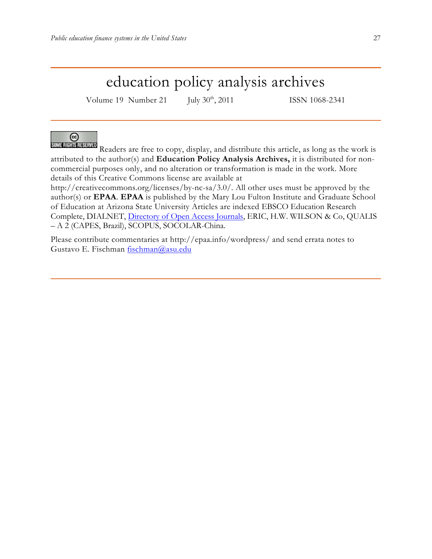# education policy analysis archives

Volume 19 Number 21 July 30<sup>th</sup>, 2011 ISSN 1068-2341



Readers are free to copy, display, and distribute this article, as long as the work is attributed to the author(s) and **Education Policy Analysis Archives,** it is distributed for noncommercial purposes only, and no alteration or transformation is made in the work. More details of this Creative Commons license are available at

http://creativecommons.org/licenses/by-nc-sa/3.0/. All other uses must be approved by the author(s) or **EPAA**. **EPAA** is published by the Mary Lou Fulton Institute and Graduate School of Education at Arizona State University Articles are indexed EBSCO Education Research Complete, DIALNET, Directory of Open Access Journals, ERIC, H.W. WILSON & Co, QUALIS – A 2 (CAPES, Brazil), SCOPUS, SOCOLAR-China.

Please contribute commentaries at http://epaa.info/wordpress/ and send errata notes to Gustavo E. Fischman fischman@asu.edu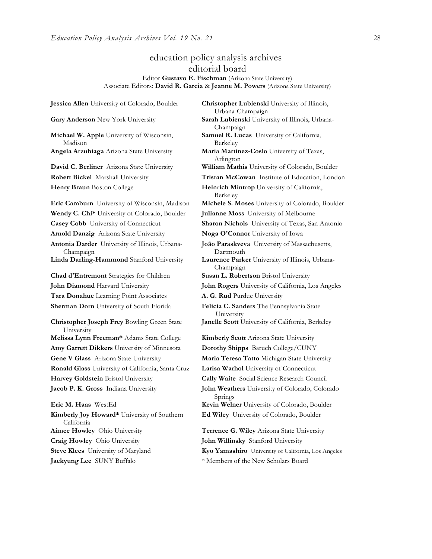## education policy analysis archives editorial board

#### Editor **Gustavo E. Fischman** (Arizona State University) Associate Editors: **David R. Garcia** & **Jeanne M. Powers** (Arizona State University)

**Jessica Allen** University of Colorado, Boulder **Christopher Lubienski** University of Illinois, Urbana-Champaign **Gary Anderson** New York University **Sarah Lubienski** University of Illinois, Urbana-Champaign **Michael W. Apple** University of Wisconsin, Madison **Samuel R. Lucas** University of California, Berkeley **Angela Arzubiaga** Arizona State University **Maria Martinez-Coslo** University of Texas, Arlington **David C. Berliner** Arizona State University **William Mathis** University of Colorado, Boulder **Robert Bickel** Marshall University **Tristan McCowan** Institute of Education, London **Henry Braun** Boston College **Heinrich Mintrop** University of California, Berkeley **Eric Camburn** University of Wisconsin, Madison **Michele S. Moses** University of Colorado, Boulder **Wendy C. Chi\*** University of Colorado, Boulder **Julianne Moss** University of Melbourne **Casey Cobb** University of Connecticut **Sharon Nichols** University of Texas, San Antonio **Arnold Danzig** Arizona State University **Noga O'Connor** University of Iowa **Antonia Darder** University of Illinois, Urbana-Champaign Dartmouth **Linda Darling-Hammond** Stanford University **Laurence Parker** University of Illinois, Urbana-Champaign **Chad d'Entremont** Strategies for Children **Susan L. Robertson** Bristol University **John Diamond** Harvard University **John Rogers** University of California, Los Angeles **Tara Donahue** Learning Point Associates **A. G. Rud** Purdue University **Sherman Dorn** University of South Florida **Felicia C. Sanders** The Pennsylvania State University **Christopher Joseph Frey** Bowling Green State University **Melissa Lynn Freeman\*** Adams State College **Kimberly Scott** Arizona State University **Amy Garrett Dikkers** University of Minnesota **Dorothy Shipps** Baruch College/CUNY **Gene V Glass** Arizona State University **Maria Teresa Tatto** Michigan State University **Ronald Glass** University of California, Santa Cruz **Larisa Warhol** University of Connecticut **Harvey Goldstein** Bristol University **Cally Waite** Social Science Research Council **Jacob P. K. Gross** Indiana University **John Weathers** University of Colorado, Colorado Springs **Eric M. Haas** WestEd **Kevin Welner** University of Colorado, Boulder **Kimberly Joy Howard\*** University of Southern California **Ed Wiley** University of Colorado, Boulder **Aimee Howley** Ohio University **Terrence G. Wiley** Arizona State University **Craig Howley** Ohio University **John Willinsky** Stanford University **Steve Klees** University of Maryland **Kyo Yamashiro** University of California, Los Angeles

**João Paraskveva** University of Massachusetts, **Janelle Scott** University of California, Berkeley

**Jaekyung Lee** SUNY Buffalo \* \* Members of the New Scholars Board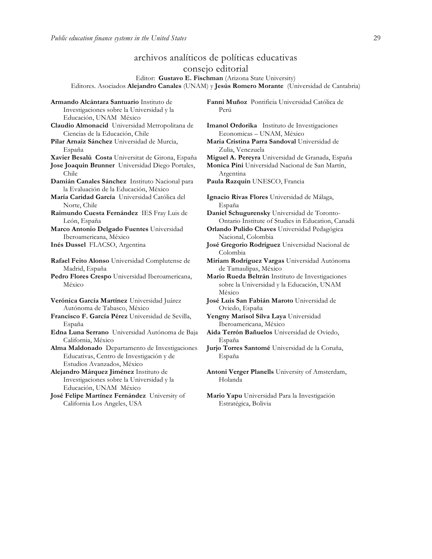**Armando Alcántara Santuario** Instituto de

# archivos analíticos de políticas educativas consejo editorial

Editor: **Gustavo E. Fischman** (Arizona State University) Editores. Asociados **Alejandro Canales** (UNAM) y **Jesús Romero Morante** (Universidad de Cantabria)

Investigaciones sobre la Universidad y la Educación, UNAM México **Claudio Almonacid** Universidad Metropolitana de Ciencias de la Educación, Chile **Pilar Arnaiz Sánchez** Universidad de Murcia, España **Xavier Besalú Costa** Universitat de Girona, España **Miguel A. Pereyra** Universidad de Granada, España **Jose Joaquin Brunner** Universidad Diego Portales, Chile **Damián Canales Sánchez** Instituto Nacional para la Evaluación de la Educación, México **María Caridad García** Universidad Católica del Norte, Chile **Raimundo Cuesta Fernández** IES Fray Luis de León, España **Marco Antonio Delgado Fuentes** Universidad Iberoamericana, México **Inés Dussel** FLACSO, Argentina **José Gregorio Rodríguez** Universidad Nacional de **Rafael Feito Alonso** Universidad Complutense de Madrid, España **Pedro Flores Crespo** Universidad Iberoamericana, México **Verónica García Martínez** Universidad Juárez Autónoma de Tabasco, México **Francisco F. García Pérez** Universidad de Sevilla, España **Edna Luna Serrano** Universidad Autónoma de Baja California, México **Alma Maldonado** Departamento de Investigaciones Educativas, Centro de Investigación y de Estudios Avanzados, México **Alejandro Márquez Jiménez** Instituto de Investigaciones sobre la Universidad y la Educación, UNAM México **José Felipe Martínez Fernández** University of California Los Angeles, USA

**Fanni Muñoz** Pontificia Universidad Católica de Perú

**Imanol Ordorika** Instituto de Investigaciones Economicas – UNAM, México

**Maria Cristina Parra Sandoval** Universidad de Zulia, Venezuela

**Monica Pini** Universidad Nacional de San Martín, Argentina

**Paula Razquin** UNESCO, Francia

**Ignacio Rivas Flores** Universidad de Málaga, España

**Daniel Schugurensky** Universidad de Toronto-Ontario Institute of Studies in Education, Canadá

**Orlando Pulido Chaves** Universidad Pedagógica Nacional, Colombia

Colombia

**Miriam Rodríguez Vargas** Universidad Autónoma de Tamaulipas, México

**Mario Rueda Beltrán** Instituto de Investigaciones sobre la Universidad y la Educación, UNAM México

**José Luis San Fabián Maroto** Universidad de Oviedo, España

**Yengny Marisol Silva Laya** Universidad Iberoamericana, México

**Aida Terrón Bañuelos** Universidad de Oviedo, España

**Jurjo Torres Santomé** Universidad de la Coruña, España

**Antoni Verger Planells** University of Amsterdam, Holanda

**Mario Yapu** Universidad Para la Investigación Estratégica, Bolivia